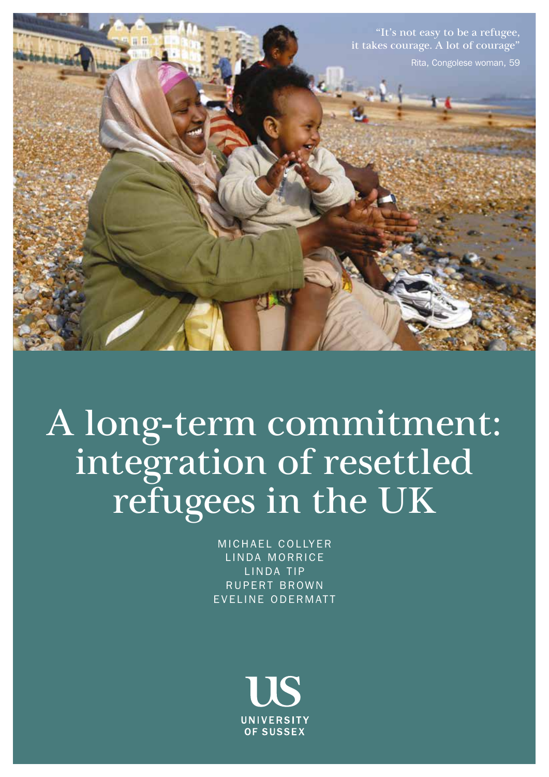

A long-term commitment: integration of resettled refugees in the UK

> MICHAEL COLLYER LINDA MORRICE LINDA TIP RUPERT BROWN EVELINE ODERMATT

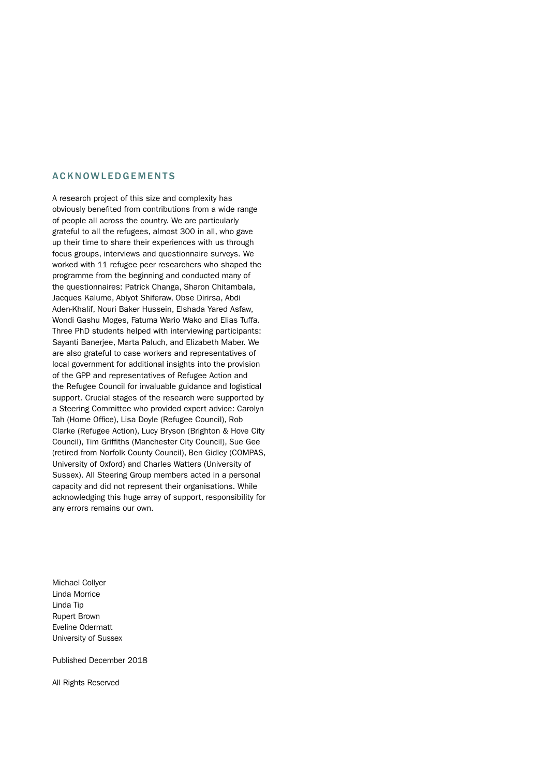#### ACKNOWLEDGEMENTS

A research project of this size and complexity has obviously benefited from contributions from a wide range of people all across the country. We are particularly grateful to all the refugees, almost 300 in all, who gave up their time to share their experiences with us through focus groups, interviews and questionnaire surveys. We worked with 11 refugee peer researchers who shaped the programme from the beginning and conducted many of the questionnaires: Patrick Changa, Sharon Chitambala, Jacques Kalume, Abiyot Shiferaw, Obse Dirirsa, Abdi Aden-Khalif, Nouri Baker Hussein, Elshada Yared Asfaw, Wondi Gashu Moges, Fatuma Wario Wako and Elias Tuffa. Three PhD students helped with interviewing participants: Sayanti Banerjee, Marta Paluch, and Elizabeth Maber. We are also grateful to case workers and representatives of local government for additional insights into the provision of the GPP and representatives of Refugee Action and the Refugee Council for invaluable guidance and logistical support. Crucial stages of the research were supported by a Steering Committee who provided expert advice: Carolyn Tah (Home Office), Lisa Doyle (Refugee Council), Rob Clarke (Refugee Action), Lucy Bryson (Brighton & Hove City Council), Tim Griffiths (Manchester City Council), Sue Gee (retired from Norfolk County Council), Ben Gidley (COMPAS, University of Oxford) and Charles Watters (University of Sussex). All Steering Group members acted in a personal capacity and did not represent their organisations. While acknowledging this huge array of support, responsibility for any errors remains our own.

Michael Collyer Linda Morrice Linda Tip Rupert Brown Eveline Odermatt University of Sussex

Published December 2018

All Rights Reserved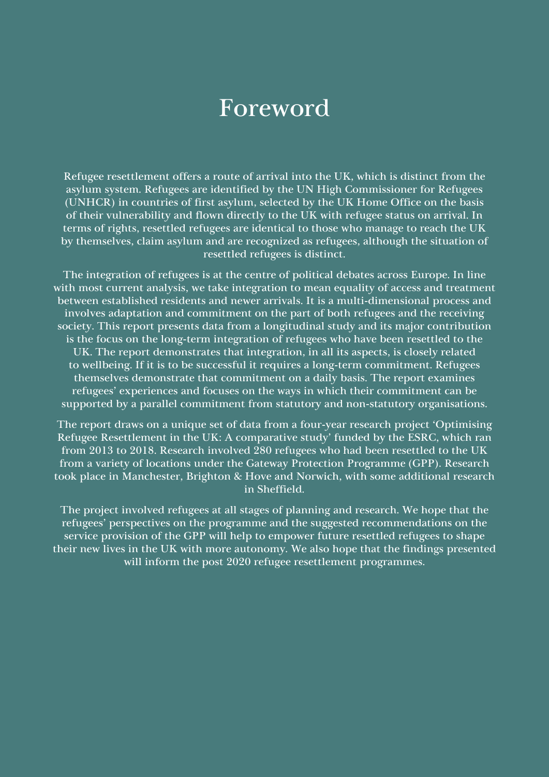## Foreword

Refugee resettlement offers a route of arrival into the UK, which is distinct from the asylum system. Refugees are identified by the UN High Commissioner for Refugees (UNHCR) in countries of first asylum, selected by the UK Home Office on the basis of their vulnerability and flown directly to the UK with refugee status on arrival. In terms of rights, resettled refugees are identical to those who manage to reach the UK by themselves, claim asylum and are recognized as refugees, although the situation of resettled refugees is distinct.

The integration of refugees is at the centre of political debates across Europe. In line with most current analysis, we take integration to mean equality of access and treatment between established residents and newer arrivals. It is a multi-dimensional process and involves adaptation and commitment on the part of both refugees and the receiving society. This report presents data from a longitudinal study and its major contribution is the focus on the long-term integration of refugees who have been resettled to the UK. The report demonstrates that integration, in all its aspects, is closely related to wellbeing. If it is to be successful it requires a long-term commitment. Refugees themselves demonstrate that commitment on a daily basis. The report examines refugees' experiences and focuses on the ways in which their commitment can be supported by a parallel commitment from statutory and non-statutory organisations.

The report draws on a unique set of data from a four-year research project 'Optimising Refugee Resettlement in the UK: A comparative study' funded by the ESRC, which ran from 2013 to 2018. Research involved 280 refugees who had been resettled to the UK from a variety of locations under the Gateway Protection Programme (GPP). Research took place in Manchester, Brighton & Hove and Norwich, with some additional research in Sheffield.

The project involved refugees at all stages of planning and research. We hope that the refugees' perspectives on the programme and the suggested recommendations on the service provision of the GPP will help to empower future resettled refugees to shape their new lives in the UK with more autonomy. We also hope that the findings presented will inform the post 2020 refugee resettlement programmes.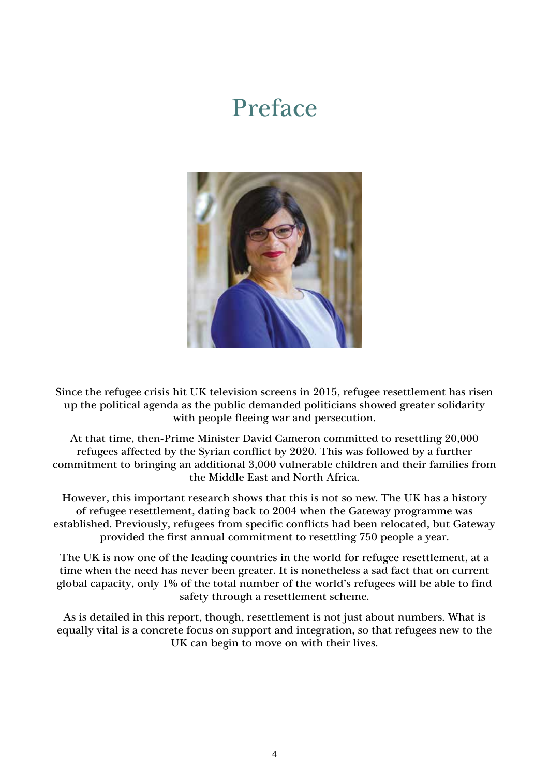## Preface



Since the refugee crisis hit UK television screens in 2015, refugee resettlement has risen up the political agenda as the public demanded politicians showed greater solidarity with people fleeing war and persecution.

At that time, then-Prime Minister David Cameron committed to resettling 20,000 refugees affected by the Syrian conflict by 2020. This was followed by a further commitment to bringing an additional 3,000 vulnerable children and their families from the Middle East and North Africa.

However, this important research shows that this is not so new. The UK has a history of refugee resettlement, dating back to 2004 when the Gateway programme was established. Previously, refugees from specific conflicts had been relocated, but Gateway provided the first annual commitment to resettling 750 people a year.

The UK is now one of the leading countries in the world for refugee resettlement, at a time when the need has never been greater. It is nonetheless a sad fact that on current global capacity, only 1% of the total number of the world's refugees will be able to find safety through a resettlement scheme.

As is detailed in this report, though, resettlement is not just about numbers. What is equally vital is a concrete focus on support and integration, so that refugees new to the UK can begin to move on with their lives.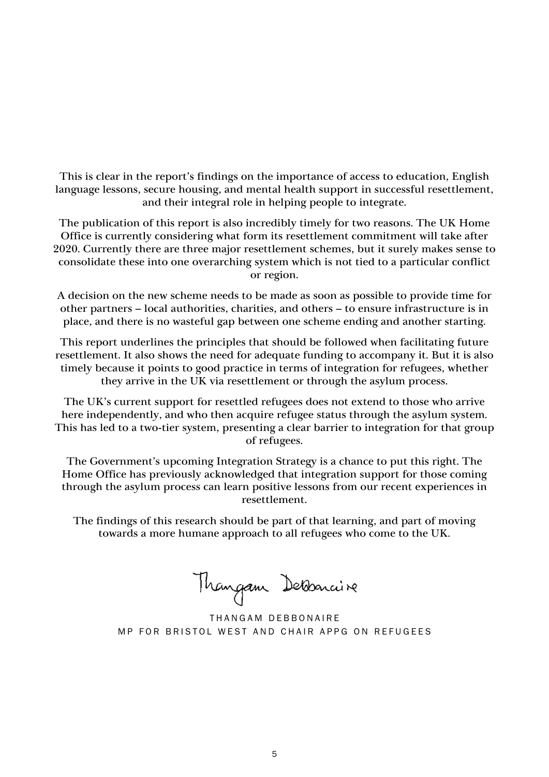This is clear in the report's findings on the importance of access to education, English language lessons, secure housing, and mental health support in successful resettlement, and their integral role in helping people to integrate.

The publication of this report is also incredibly timely for two reasons. The UK Home Office is currently considering what form its resettlement commitment will take after 2020. Currently there are three major resettlement schemes, but it surely makes sense to consolidate these into one overarching system which is not tied to a particular conflict or region.

A decision on the new scheme needs to be made as soon as possible to provide time for other partners – local authorities, charities, and others – to ensure infrastructure is in place, and there is no wasteful gap between one scheme ending and another starting.

This report underlines the principles that should be followed when facilitating future resettlement. It also shows the need for adequate funding to accompany it. But it is also timely because it points to good practice in terms of integration for refugees, whether they arrive in the UK via resettlement or through the asylum process.

The UK's current support for resettled refugees does not extend to those who arrive here independently, and who then acquire refugee status through the asylum system. This has led to a two-tier system, presenting a clear barrier to integration for that group of refugees.

The Government's upcoming Integration Strategy is a chance to put this right. The Home Office has previously acknowledged that integration support for those coming through the asylum process can learn positive lessons from our recent experiences in resettlement.

The findings of this research should be part of that learning, and part of moving towards a more humane approach to all refugees who come to the UK.

Thangam Debonnine

THANGAM DEBBONAIRE MP FOR BRISTOL WEST AND CHAIR APPG ON REFUGEES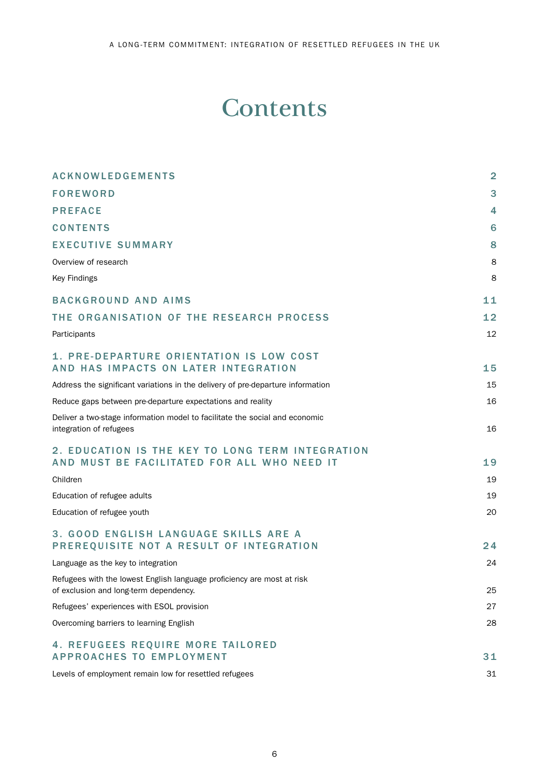## **Contents**

| <b>ACKNOWLEDGEMENTS</b>                                                                                          | $\overline{2}$ |
|------------------------------------------------------------------------------------------------------------------|----------------|
| <b>FOREWORD</b>                                                                                                  | 3              |
| <b>PREFACE</b>                                                                                                   | 4              |
| <b>CONTENTS</b>                                                                                                  | 6              |
| <b>EXECUTIVE SUMMARY</b>                                                                                         | 8              |
| Overview of research                                                                                             | 8              |
| Key Findings                                                                                                     | 8              |
| <b>BACKGROUND AND AIMS</b>                                                                                       | 11             |
| THE ORGANISATION OF THE RESEARCH PROCESS                                                                         | 12             |
| Participants                                                                                                     | 12             |
| 1. PRE-DEPARTURE ORIENTATION IS LOW COST<br>AND HAS IMPACTS ON LATER INTEGRATION                                 | 15             |
| Address the significant variations in the delivery of pre-departure information                                  | 15             |
| Reduce gaps between pre-departure expectations and reality                                                       | 16             |
| Deliver a two-stage information model to facilitate the social and economic<br>integration of refugees           | 16             |
| 2. EDUCATION IS THE KEY TO LONG TERM INTEGRATION<br>AND MUST BE FACILITATED FOR ALL WHO NEED IT                  | 19             |
| Children                                                                                                         | 19             |
| Education of refugee adults                                                                                      | 19             |
| Education of refugee youth                                                                                       | 20             |
| 3. GOOD ENGLISH LANGUAGE SKILLS ARE A<br>PREREQUISITE NOT A RESULT OF INTEGRATION                                | 24             |
| Language as the key to integration                                                                               | 24             |
| Refugees with the lowest English language proficiency are most at risk<br>of exclusion and long-term dependency. | 25             |
| Refugees' experiences with ESOL provision                                                                        | 27             |
| Overcoming barriers to learning English                                                                          | 28             |
| 4. REFUGEES REQUIRE MORE TAILORED<br><b>APPROACHES TO EMPLOYMENT</b>                                             | 31             |
| Levels of employment remain low for resettled refugees                                                           | 31             |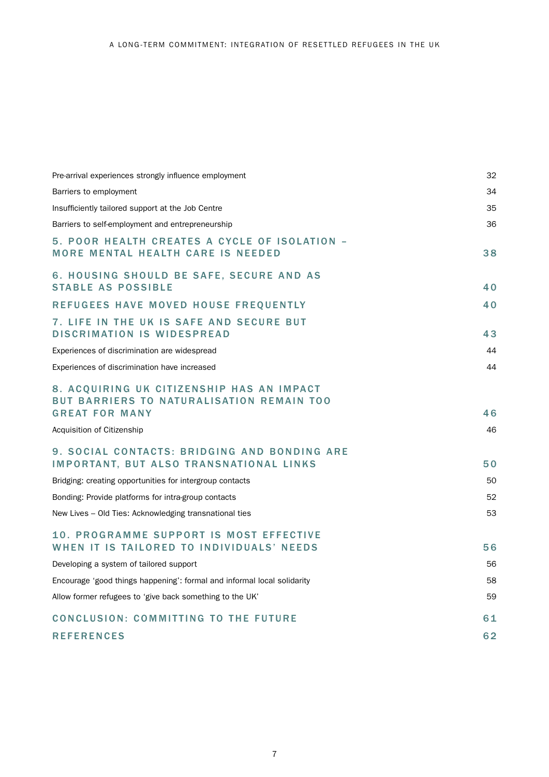| Pre-arrival experiences strongly influence employment                                                           | 32 |
|-----------------------------------------------------------------------------------------------------------------|----|
| Barriers to employment                                                                                          | 34 |
| Insufficiently tailored support at the Job Centre                                                               | 35 |
| Barriers to self-employment and entrepreneurship                                                                | 36 |
| 5. POOR HEALTH CREATES A CYCLE OF ISOLATION -<br><b>MORE MENTAL HEALTH CARE IS NEEDED</b>                       | 38 |
| 6. HOUSING SHOULD BE SAFE, SECURE AND AS<br><b>STABLE AS POSSIBLE</b>                                           | 40 |
| REFUGEES HAVE MOVED HOUSE FREQUENTLY                                                                            | 40 |
| 7. LIFE IN THE UK IS SAFE AND SECURE BUT<br><b>DISCRIMATION IS WIDESPREAD</b>                                   | 43 |
| Experiences of discrimination are widespread                                                                    | 44 |
| Experiences of discrimination have increased                                                                    | 44 |
| 8. ACQUIRING UK CITIZENSHIP HAS AN IMPACT<br>BUT BARRIERS TO NATURALISATION REMAIN TOO<br><b>GREAT FOR MANY</b> | 46 |
| Acquisition of Citizenship                                                                                      | 46 |
| 9. SOCIAL CONTACTS: BRIDGING AND BONDING ARE<br><b>IMPORTANT, BUT ALSO TRANSNATIONAL LINKS</b>                  | 50 |
| Bridging: creating opportunities for intergroup contacts                                                        | 50 |
| Bonding: Provide platforms for intra-group contacts                                                             | 52 |
| New Lives – Old Ties: Acknowledging transnational ties                                                          | 53 |
| 10. PROGRAMME SUPPORT IS MOST EFFECTIVE<br>WHEN IT IS TAILORED TO INDIVIDUALS' NEEDS                            | 56 |
| Developing a system of tailored support                                                                         | 56 |
| Encourage 'good things happening': formal and informal local solidarity                                         | 58 |
| Allow former refugees to 'give back something to the UK'                                                        | 59 |
| CONCLUSION: COMMITTING TO THE FUTURE                                                                            | 61 |
| <b>REFERENCES</b>                                                                                               | 62 |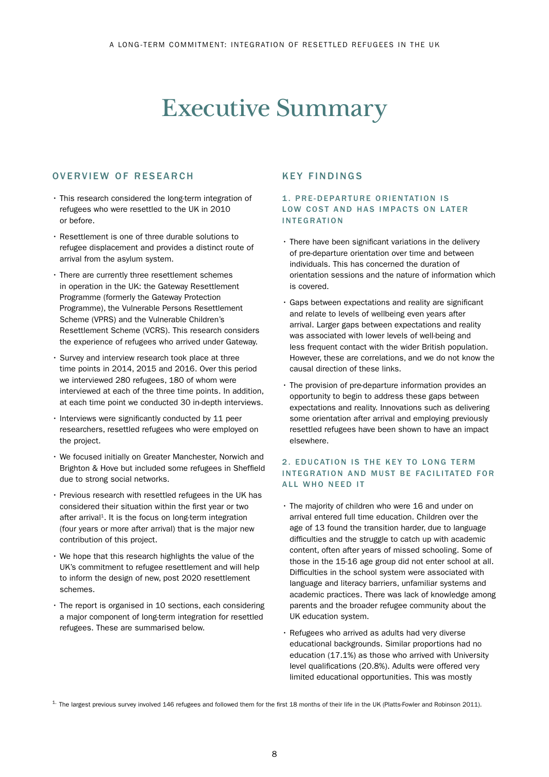# Executive Summary

### OVERVIEW OF RESEARCH

- This research considered the long-term integration of refugees who were resettled to the UK in 2010 or before.
- Resettlement is one of three durable solutions to refugee displacement and provides a distinct route of arrival from the asylum system.
- There are currently three resettlement schemes in operation in the UK: the Gateway Resettlement Programme (formerly the Gateway Protection Programme), the Vulnerable Persons Resettlement Scheme (VPRS) and the Vulnerable Children's Resettlement Scheme (VCRS). This research considers the experience of refugees who arrived under Gateway.
- Survey and interview research took place at three time points in 2014, 2015 and 2016. Over this period we interviewed 280 refugees, 180 of whom were interviewed at each of the three time points. In addition, at each time point we conducted 30 in-depth interviews.
- Interviews were significantly conducted by 11 peer researchers, resettled refugees who were employed on the project.
- We focused initially on Greater Manchester, Norwich and Brighton & Hove but included some refugees in Sheffield due to strong social networks.
- Previous research with resettled refugees in the UK has considered their situation within the first year or two after arrival<sup>1</sup>. It is the focus on long-term integration (four years or more after arrival) that is the major new contribution of this project.
- We hope that this research highlights the value of the UK's commitment to refugee resettlement and will help to inform the design of new, post 2020 resettlement schemes.
- The report is organised in 10 sections, each considering a major component of long-term integration for resettled refugees. These are summarised below.

## KEY FINDINGS

#### 1. PRE-DEPARTURE ORIENTATION IS LOW COST AND HAS IMPACTS ON LATER INTEGRATION

- There have been significant variations in the delivery of pre-departure orientation over time and between individuals. This has concerned the duration of orientation sessions and the nature of information which is covered.
- Gaps between expectations and reality are significant and relate to levels of wellbeing even years after arrival. Larger gaps between expectations and reality was associated with lower levels of well-being and less frequent contact with the wider British population. However, these are correlations, and we do not know the causal direction of these links.
- The provision of pre-departure information provides an opportunity to begin to address these gaps between expectations and reality. Innovations such as delivering some orientation after arrival and employing previously resettled refugees have been shown to have an impact elsewhere.

### 2. EDUCATION IS THE KEY TO LONG TERM INTEGRATION AND MUST BE FACILITATED FOR ALL WHO NEED IT

- The majority of children who were 16 and under on arrival entered full time education. Children over the age of 13 found the transition harder, due to language difficulties and the struggle to catch up with academic content, often after years of missed schooling. Some of those in the 15-16 age group did not enter school at all. Difficulties in the school system were associated with language and literacy barriers, unfamiliar systems and academic practices. There was lack of knowledge among parents and the broader refugee community about the UK education system.
- Refugees who arrived as adults had very diverse educational backgrounds. Similar proportions had no education (17.1%) as those who arrived with University level qualifications (20.8%). Adults were offered very limited educational opportunities. This was mostly

 $1$ . The largest previous survey involved 146 refugees and followed them for the first 18 months of their life in the UK (Platts-Fowler and Robinson 2011).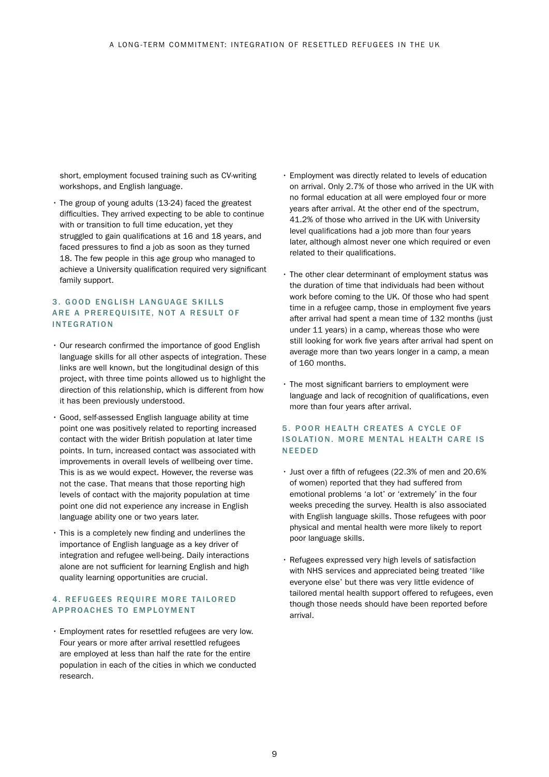short, employment focused training such as CV-writing workshops, and English language.

• The group of young adults (13-24) faced the greatest difficulties. They arrived expecting to be able to continue with or transition to full time education, yet they struggled to gain qualifications at 16 and 18 years, and faced pressures to find a job as soon as they turned 18. The few people in this age group who managed to achieve a University qualification required very significant family support.

#### 3. GOOD ENGLISH LANGUAGE SKILLS ARE A PREREQUISITE, NOT A RESULT OF INTEGRATION

- Our research confirmed the importance of good English language skills for all other aspects of integration. These links are well known, but the longitudinal design of this project, with three time points allowed us to highlight the direction of this relationship, which is different from how it has been previously understood.
- Good, self-assessed English language ability at time point one was positively related to reporting increased contact with the wider British population at later time points. In turn, increased contact was associated with improvements in overall levels of wellbeing over time. This is as we would expect. However, the reverse was not the case. That means that those reporting high levels of contact with the majority population at time point one did not experience any increase in English language ability one or two years later.
- This is a completely new finding and underlines the importance of English language as a key driver of integration and refugee well-being. Daily interactions alone are not sufficient for learning English and high quality learning opportunities are crucial.

### 4. REFUGEES REQUIRE MORE TAILORED APPROACHES TO EMPLOYMENT

• Employment rates for resettled refugees are very low. Four years or more after arrival resettled refugees are employed at less than half the rate for the entire population in each of the cities in which we conducted research.

- Employment was directly related to levels of education on arrival. Only 2.7% of those who arrived in the UK with no formal education at all were employed four or more years after arrival. At the other end of the spectrum, 41.2% of those who arrived in the UK with University level qualifications had a job more than four years later, although almost never one which required or even related to their qualifications.
- The other clear determinant of employment status was the duration of time that individuals had been without work before coming to the UK. Of those who had spent time in a refugee camp, those in employment five years after arrival had spent a mean time of 132 months (just under 11 years) in a camp, whereas those who were still looking for work five years after arrival had spent on average more than two years longer in a camp, a mean of 160 months.
- The most significant barriers to employment were language and lack of recognition of qualifications, even more than four years after arrival.

### 5. POOR HEALTH CREATES A CYCLE OF ISOLATION. MORE MENTAL HEALTH CARE IS NEEDED

- Just over a fifth of refugees (22.3% of men and 20.6% of women) reported that they had suffered from emotional problems 'a lot' or 'extremely' in the four weeks preceding the survey. Health is also associated with English language skills. Those refugees with poor physical and mental health were more likely to report poor language skills.
- Refugees expressed very high levels of satisfaction with NHS services and appreciated being treated 'like everyone else' but there was very little evidence of tailored mental health support offered to refugees, even though those needs should have been reported before arrival.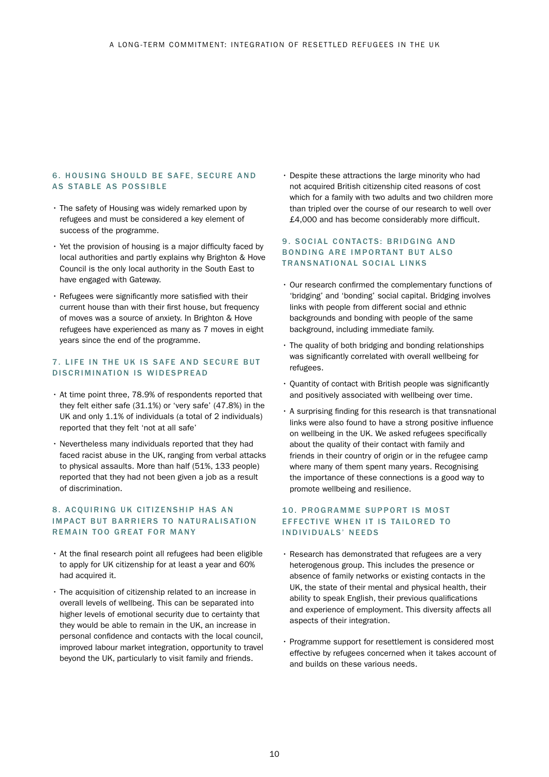#### 6. HOUSING SHOULD BE SAFE, SECURE AND AS STABLE AS POSSIBLE

- The safety of Housing was widely remarked upon by refugees and must be considered a key element of success of the programme.
- Yet the provision of housing is a major difficulty faced by local authorities and partly explains why Brighton & Hove Council is the only local authority in the South East to have engaged with Gateway.
- Refugees were significantly more satisfied with their current house than with their first house, but frequency of moves was a source of anxiety. In Brighton & Hove refugees have experienced as many as 7 moves in eight years since the end of the programme.

#### 7. LIFE IN THE UK IS SAFE AND SECURE BUT DISCRIMINATION IS WIDESPREAD

- At time point three, 78.9% of respondents reported that they felt either safe (31.1%) or 'very safe' (47.8%) in the UK and only 1.1% of individuals (a total of 2 individuals) reported that they felt 'not at all safe'
- Nevertheless many individuals reported that they had faced racist abuse in the UK, ranging from verbal attacks to physical assaults. More than half (51%, 133 people) reported that they had not been given a job as a result of discrimination.

#### 8. ACQUIRING UK CITIZENSHIP HAS AN IMPACT BUT BARRIERS TO NATURALISATION REMAIN TOO GREAT FOR MANY

- At the final research point all refugees had been eligible to apply for UK citizenship for at least a year and 60% had acquired it.
- The acquisition of citizenship related to an increase in overall levels of wellbeing. This can be separated into higher levels of emotional security due to certainty that they would be able to remain in the UK, an increase in personal confidence and contacts with the local council, improved labour market integration, opportunity to travel beyond the UK, particularly to visit family and friends.

• Despite these attractions the large minority who had not acquired British citizenship cited reasons of cost which for a family with two adults and two children more than tripled over the course of our research to well over £4,000 and has become considerably more difficult.

#### 9. SOCIAL CONTACTS: BRIDGING AND BONDING ARE IMPORTANT BUT ALSO TRANSNATIONAL SOCIAL LINKS

- Our research confirmed the complementary functions of 'bridging' and 'bonding' social capital. Bridging involves links with people from different social and ethnic backgrounds and bonding with people of the same background, including immediate family.
- The quality of both bridging and bonding relationships was significantly correlated with overall wellbeing for refugees.
- Quantity of contact with British people was significantly and positively associated with wellbeing over time.
- A surprising finding for this research is that transnational links were also found to have a strong positive influence on wellbeing in the UK. We asked refugees specifically about the quality of their contact with family and friends in their country of origin or in the refugee camp where many of them spent many years. Recognising the importance of these connections is a good way to promote wellbeing and resilience.

#### 10. PROGRAMME SUPPORT IS MOST EFFECTIVE WHEN IT IS TAILORED TO IN D I V I D UALS' NEEDS

- Research has demonstrated that refugees are a very heterogenous group. This includes the presence or absence of family networks or existing contacts in the UK, the state of their mental and physical health, their ability to speak English, their previous qualifications and experience of employment. This diversity affects all aspects of their integration.
- Programme support for resettlement is considered most effective by refugees concerned when it takes account of and builds on these various needs.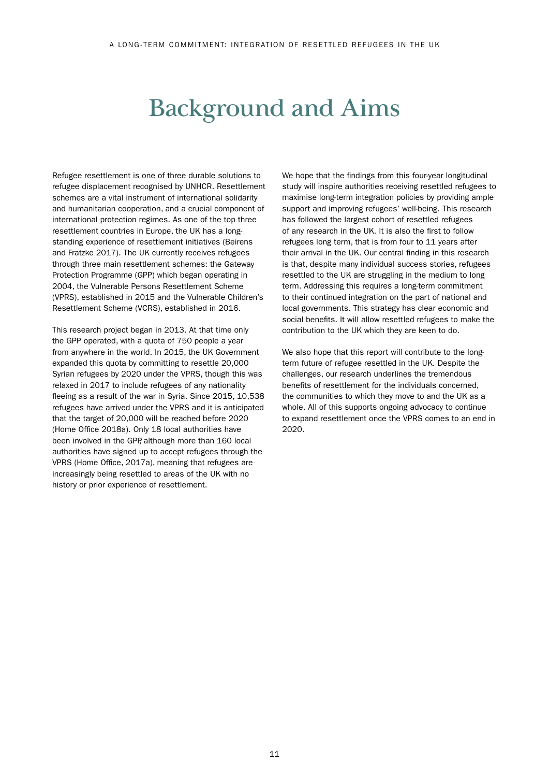## Background and Aims

Refugee resettlement is one of three durable solutions to refugee displacement recognised by UNHCR. Resettlement schemes are a vital instrument of international solidarity and humanitarian cooperation, and a crucial component of international protection regimes. As one of the top three resettlement countries in Europe, the UK has a longstanding experience of resettlement initiatives (Beirens and Fratzke 2017). The UK currently receives refugees through three main resettlement schemes: the Gateway Protection Programme (GPP) which began operating in 2004, the Vulnerable Persons Resettlement Scheme (VPRS), established in 2015 and the Vulnerable Children's Resettlement Scheme (VCRS), established in 2016.

This research project began in 2013. At that time only the GPP operated, with a quota of 750 people a year from anywhere in the world. In 2015, the UK Government expanded this quota by committing to resettle 20,000 Syrian refugees by 2020 under the VPRS, though this was relaxed in 2017 to include refugees of any nationality fleeing as a result of the war in Syria. Since 2015, 10,538 refugees have arrived under the VPRS and it is anticipated that the target of 20,000 will be reached before 2020 (Home Office 2018a). Only 18 local authorities have been involved in the GPP, although more than 160 local authorities have signed up to accept refugees through the VPRS (Home Office, 2017a), meaning that refugees are increasingly being resettled to areas of the UK with no history or prior experience of resettlement.

We hope that the findings from this four-year longitudinal study will inspire authorities receiving resettled refugees to maximise long-term integration policies by providing ample support and improving refugees' well-being. This research has followed the largest cohort of resettled refugees of any research in the UK. It is also the first to follow refugees long term, that is from four to 11 years after their arrival in the UK. Our central finding in this research is that, despite many individual success stories, refugees resettled to the UK are struggling in the medium to long term. Addressing this requires a long-term commitment to their continued integration on the part of national and local governments. This strategy has clear economic and social benefits. It will allow resettled refugees to make the contribution to the UK which they are keen to do.

We also hope that this report will contribute to the longterm future of refugee resettled in the UK. Despite the challenges, our research underlines the tremendous benefits of resettlement for the individuals concerned, the communities to which they move to and the UK as a whole. All of this supports ongoing advocacy to continue to expand resettlement once the VPRS comes to an end in 2020.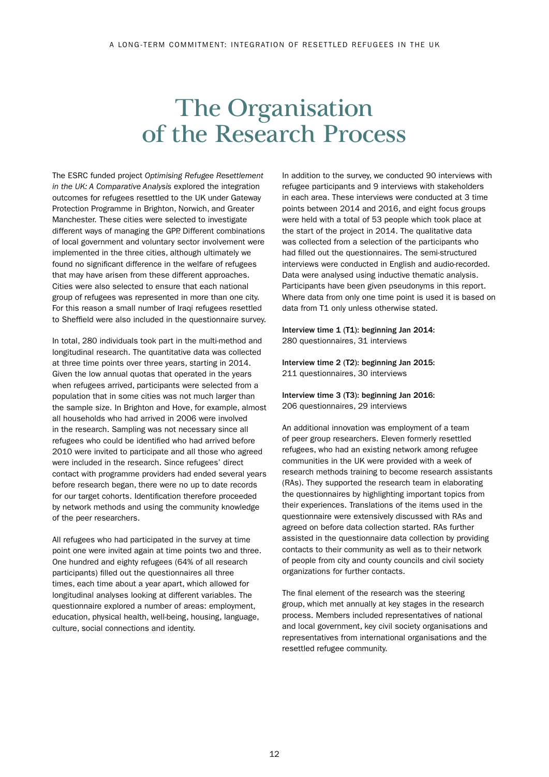## The Organisation of the Research Process

The ESRC funded project *Optimising Refugee Resettlement in the UK: A Comparative Analysis* explored the integration outcomes for refugees resettled to the UK under Gateway Protection Programme in Brighton, Norwich, and Greater Manchester. These cities were selected to investigate different ways of managing the GPP. Different combinations of local government and voluntary sector involvement were implemented in the three cities, although ultimately we found no significant difference in the welfare of refugees that may have arisen from these different approaches. Cities were also selected to ensure that each national group of refugees was represented in more than one city. For this reason a small number of Iraqi refugees resettled to Sheffield were also included in the questionnaire survey.

In total, 280 individuals took part in the multi-method and longitudinal research. The quantitative data was collected at three time points over three years, starting in 2014. Given the low annual quotas that operated in the years when refugees arrived, participants were selected from a population that in some cities was not much larger than the sample size. In Brighton and Hove, for example, almost all households who had arrived in 2006 were involved in the research. Sampling was not necessary since all refugees who could be identified who had arrived before 2010 were invited to participate and all those who agreed were included in the research. Since refugees' direct contact with programme providers had ended several years before research began, there were no up to date records for our target cohorts. Identification therefore proceeded by network methods and using the community knowledge of the peer researchers.

All refugees who had participated in the survey at time point one were invited again at time points two and three. One hundred and eighty refugees (64% of all research participants) filled out the questionnaires all three times, each time about a year apart, which allowed for longitudinal analyses looking at different variables. The questionnaire explored a number of areas: employment, education, physical health, well-being, housing, language, culture, social connections and identity.

In addition to the survey, we conducted 90 interviews with refugee participants and 9 interviews with stakeholders in each area. These interviews were conducted at 3 time points between 2014 and 2016, and eight focus groups were held with a total of 53 people which took place at the start of the project in 2014. The qualitative data was collected from a selection of the participants who had filled out the questionnaires. The semi-structured interviews were conducted in English and audio-recorded. Data were analysed using inductive thematic analysis. Participants have been given pseudonyms in this report. Where data from only one time point is used it is based on data from T1 only unless otherwise stated.

#### Interview time 1 (T1): beginning Jan 2014: 280 questionnaires, 31 interviews

Interview time 2 (T2): beginning Jan 2015: 211 questionnaires, 30 interviews

Interview time 3 (T3): beginning Jan 2016: 206 questionnaires, 29 interviews

An additional innovation was employment of a team of peer group researchers. Eleven formerly resettled refugees, who had an existing network among refugee communities in the UK were provided with a week of research methods training to become research assistants (RAs). They supported the research team in elaborating the questionnaires by highlighting important topics from their experiences. Translations of the items used in the questionnaire were extensively discussed with RAs and agreed on before data collection started. RAs further assisted in the questionnaire data collection by providing contacts to their community as well as to their network of people from city and county councils and civil society organizations for further contacts.

The final element of the research was the steering group, which met annually at key stages in the research process. Members included representatives of national and local government, key civil society organisations and representatives from international organisations and the resettled refugee community.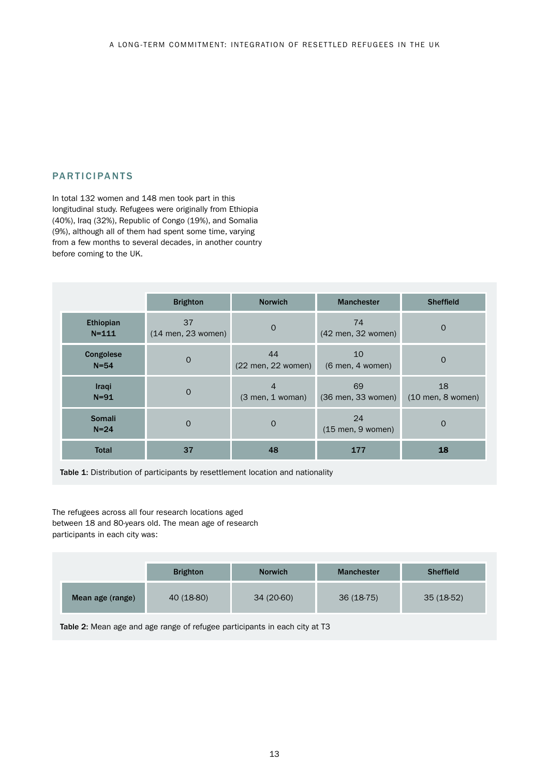## PARTICIPANTS

In total 132 women and 148 men took part in this longitudinal study. Refugees were originally from Ethiopia (40%), Iraq (32%), Republic of Congo (19%), and Somalia (9%), although all of them had spent some time, varying from a few months to several decades, in another country before coming to the UK.

|                        | <b>Brighton</b>            | <b>Manchester</b><br><b>Norwich</b>        |                           | <b>Sheffield</b>          |
|------------------------|----------------------------|--------------------------------------------|---------------------------|---------------------------|
| Ethiopian<br>$N = 111$ | 37<br>$(14$ men, 23 women) | $\Omega$                                   | 74<br>(42 men, 32 women)  | $\mathbf{O}$              |
| Congolese<br>$N = 54$  | $\Omega$                   | 44<br>$(22 \text{ men}, 22 \text{ women})$ | 10<br>$(6$ men, 4 women)  | $\Omega$                  |
| Iraqi<br>$N=91$        | $\overline{0}$             | 4<br>$(3$ men, 1 woman)                    | 69<br>(36 men, 33 women)  | 18<br>$(10$ men, 8 women) |
| Somali<br>$N=24$       | $\Omega$                   | $\mathbf{O}$                               | 24<br>$(15$ men, 9 women) | $\mathbf 0$               |
| <b>Total</b>           | 37                         | 48                                         | 177                       | 18                        |

Table 1: Distribution of participants by resettlement location and nationality

The refugees across all four research locations aged between 18 and 80-years old. The mean age of research participants in each city was:

|                  | <b>Brighton</b> | <b>Norwich</b> | <b>Manchester</b> | <b>Sheffield</b> |
|------------------|-----------------|----------------|-------------------|------------------|
| Mean age (range) | 40 (18-80)      | 34 (20-60)     | $36(18-75)$       | 35 (18-52)       |

Table 2: Mean age and age range of refugee participants in each city at T3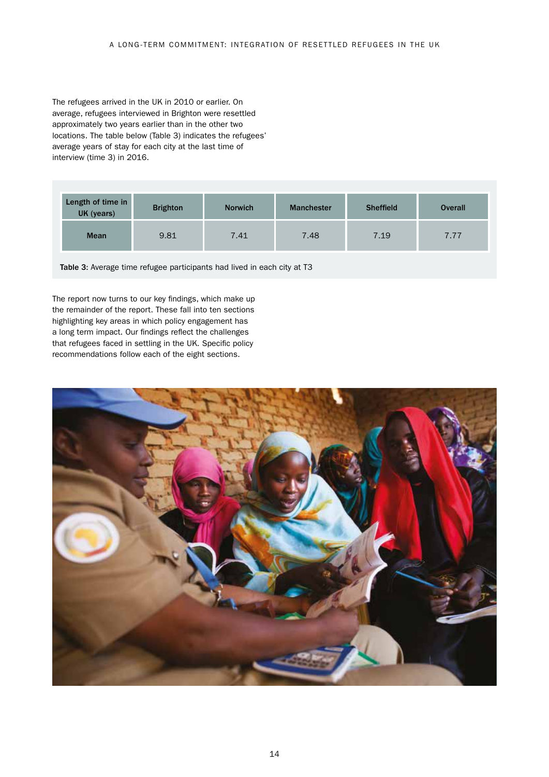The refugees arrived in the UK in 2010 or earlier. On average, refugees interviewed in Brighton were resettled approximately two years earlier than in the other two locations. The table below (Table 3) indicates the refugees' average years of stay for each city at the last time of interview (time 3) in 2016.

| Length of time in<br>UK (years) | <b>Brighton</b> | <b>Norwich</b> | <b>Manchester</b> | <b>Sheffield</b> | <b>Overall</b> |
|---------------------------------|-----------------|----------------|-------------------|------------------|----------------|
| <b>Mean</b>                     | 9.81            | 7.41           | 7.48              | 7.19             | 7.77           |

Table 3: Average time refugee participants had lived in each city at T3

The report now turns to our key findings, which make up the remainder of the report. These fall into ten sections highlighting key areas in which policy engagement has a long term impact. Our findings reflect the challenges that refugees faced in settling in the UK. Specific policy recommendations follow each of the eight sections.

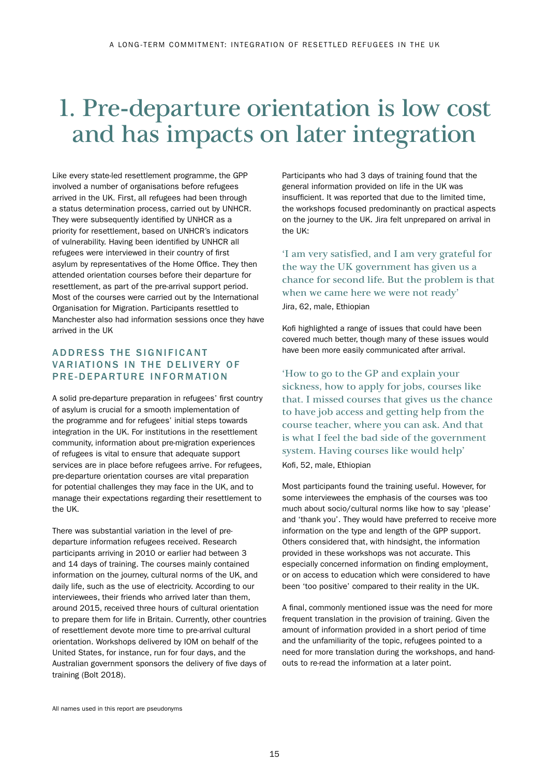## 1. Pre-departure orientation is low cost and has impacts on later integration

Like every state-led resettlement programme, the GPP involved a number of organisations before refugees arrived in the UK. First, all refugees had been through a status determination process, carried out by UNHCR. They were subsequently identified by UNHCR as a priority for resettlement, based on UNHCR's indicators of vulnerability. Having been identified by UNHCR all refugees were interviewed in their country of first asylum by representatives of the Home Office. They then attended orientation courses before their departure for resettlement, as part of the pre-arrival support period. Most of the courses were carried out by the International Organisation for Migration. Participants resettled to Manchester also had information sessions once they have arrived in the UK

## ADDRESS THE SIGNIFICANT VARIATIONS IN THE DELIVERY OF PRE-DEPARTURE INFORMATION

A solid pre-departure preparation in refugees' first country of asylum is crucial for a smooth implementation of the programme and for refugees' initial steps towards integration in the UK. For institutions in the resettlement community, information about pre-migration experiences of refugees is vital to ensure that adequate support services are in place before refugees arrive. For refugees, pre-departure orientation courses are vital preparation for potential challenges they may face in the UK, and to manage their expectations regarding their resettlement to the UK.

There was substantial variation in the level of predeparture information refugees received. Research participants arriving in 2010 or earlier had between 3 and 14 days of training. The courses mainly contained information on the journey, cultural norms of the UK, and daily life, such as the use of electricity. According to our interviewees, their friends who arrived later than them, around 2015, received three hours of cultural orientation to prepare them for life in Britain. Currently, other countries of resettlement devote more time to pre-arrival cultural orientation. Workshops delivered by IOM on behalf of the United States, for instance, run for four days, and the Australian government sponsors the delivery of five days of training (Bolt 2018).

Participants who had 3 days of training found that the general information provided on life in the UK was insufficient. It was reported that due to the limited time, the workshops focused predominantly on practical aspects on the journey to the UK. Jira felt unprepared on arrival in the UK:

'I am very satisfied, and I am very grateful for the way the UK government has given us a chance for second life. But the problem is that when we came here we were not ready' Jira, 62, male, Ethiopian

Kofi highlighted a range of issues that could have been covered much better, though many of these issues would have been more easily communicated after arrival.

'How to go to the GP and explain your sickness, how to apply for jobs, courses like that. I missed courses that gives us the chance to have job access and getting help from the course teacher, where you can ask. And that is what I feel the bad side of the government system. Having courses like would help' Kofi, 52, male, Ethiopian

Most participants found the training useful. However, for some interviewees the emphasis of the courses was too much about socio/cultural norms like how to say 'please' and 'thank you'. They would have preferred to receive more information on the type and length of the GPP support. Others considered that, with hindsight, the information provided in these workshops was not accurate. This especially concerned information on finding employment, or on access to education which were considered to have been 'too positive' compared to their reality in the UK.

A final, commonly mentioned issue was the need for more frequent translation in the provision of training. Given the amount of information provided in a short period of time and the unfamiliarity of the topic, refugees pointed to a need for more translation during the workshops, and handouts to re-read the information at a later point.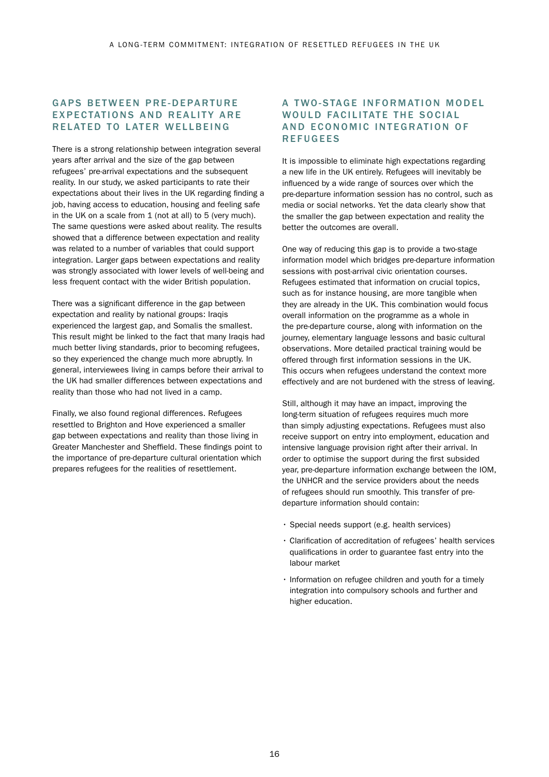### GAPS BETWEEN PRE-DEPARTURE **EXPECTATIONS AND REALITY ARE** RELATED TO LATER WELLBEING

There is a strong relationship between integration several years after arrival and the size of the gap between refugees' pre-arrival expectations and the subsequent reality. In our study, we asked participants to rate their expectations about their lives in the UK regarding finding a job, having access to education, housing and feeling safe in the UK on a scale from 1 (not at all) to 5 (very much). The same questions were asked about reality. The results showed that a difference between expectation and reality was related to a number of variables that could support integration. Larger gaps between expectations and reality was strongly associated with lower levels of well-being and less frequent contact with the wider British population.

There was a significant difference in the gap between expectation and reality by national groups: Iraqis experienced the largest gap, and Somalis the smallest. This result might be linked to the fact that many Iraqis had much better living standards, prior to becoming refugees, so they experienced the change much more abruptly. In general, interviewees living in camps before their arrival to the UK had smaller differences between expectations and reality than those who had not lived in a camp.

Finally, we also found regional differences. Refugees resettled to Brighton and Hove experienced a smaller gap between expectations and reality than those living in Greater Manchester and Sheffield. These findings point to the importance of pre-departure cultural orientation which prepares refugees for the realities of resettlement.

### A TWO-STAGE INFORMATION MODEL WOULD FACILITATE THE SOCIAL AND ECONOMIC INTEGRATION OF **REFUGEES**

It is impossible to eliminate high expectations regarding a new life in the UK entirely. Refugees will inevitably be influenced by a wide range of sources over which the pre-departure information session has no control, such as media or social networks. Yet the data clearly show that the smaller the gap between expectation and reality the better the outcomes are overall.

One way of reducing this gap is to provide a two-stage information model which bridges pre-departure information sessions with post-arrival civic orientation courses. Refugees estimated that information on crucial topics, such as for instance housing, are more tangible when they are already in the UK. This combination would focus overall information on the programme as a whole in the pre-departure course, along with information on the journey, elementary language lessons and basic cultural observations. More detailed practical training would be offered through first information sessions in the UK. This occurs when refugees understand the context more effectively and are not burdened with the stress of leaving.

Still, although it may have an impact, improving the long-term situation of refugees requires much more than simply adjusting expectations. Refugees must also receive support on entry into employment, education and intensive language provision right after their arrival. In order to optimise the support during the first subsided year, pre-departure information exchange between the IOM, the UNHCR and the service providers about the needs of refugees should run smoothly. This transfer of predeparture information should contain:

- Special needs support (e.g. health services)
- Clarification of accreditation of refugees' health services qualifications in order to guarantee fast entry into the labour market
- Information on refugee children and youth for a timely integration into compulsory schools and further and higher education.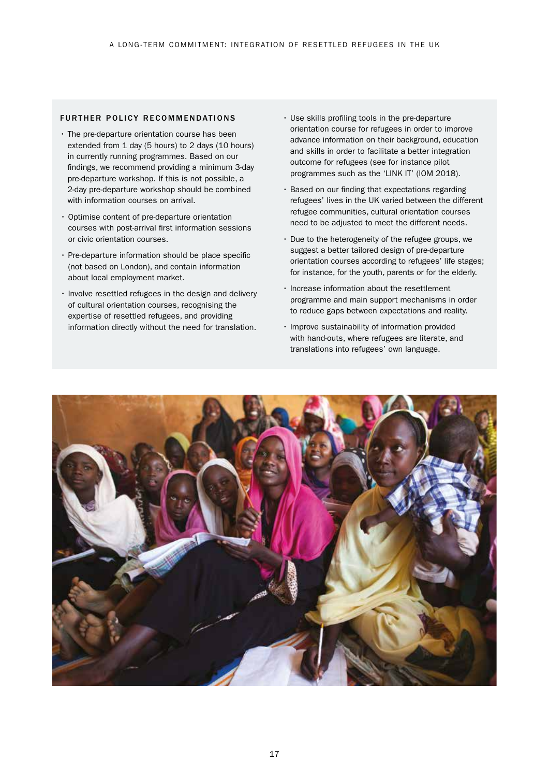#### FURTHER POLICY RECOMMENDATIONS

- The pre-departure orientation course has been extended from 1 day (5 hours) to 2 days (10 hours) in currently running programmes. Based on our findings, we recommend providing a minimum 3-day pre-departure workshop. If this is not possible, a 2-day pre-departure workshop should be combined with information courses on arrival.
- Optimise content of pre-departure orientation courses with post-arrival first information sessions or civic orientation courses.
- Pre-departure information should be place specific (not based on London), and contain information about local employment market.
- Involve resettled refugees in the design and delivery of cultural orientation courses, recognising the expertise of resettled refugees, and providing information directly without the need for translation.
- Use skills profiling tools in the pre-departure orientation course for refugees in order to improve advance information on their background, education and skills in order to facilitate a better integration outcome for refugees (see for instance pilot programmes such as the 'LINK IT' (IOM 2018).
- Based on our finding that expectations regarding refugees' lives in the UK varied between the different refugee communities, cultural orientation courses need to be adjusted to meet the different needs.
- Due to the heterogeneity of the refugee groups, we suggest a better tailored design of pre-departure orientation courses according to refugees' life stages; for instance, for the youth, parents or for the elderly.
- Increase information about the resettlement programme and main support mechanisms in order to reduce gaps between expectations and reality.
- Improve sustainability of information provided with hand-outs, where refugees are literate, and translations into refugees' own language.

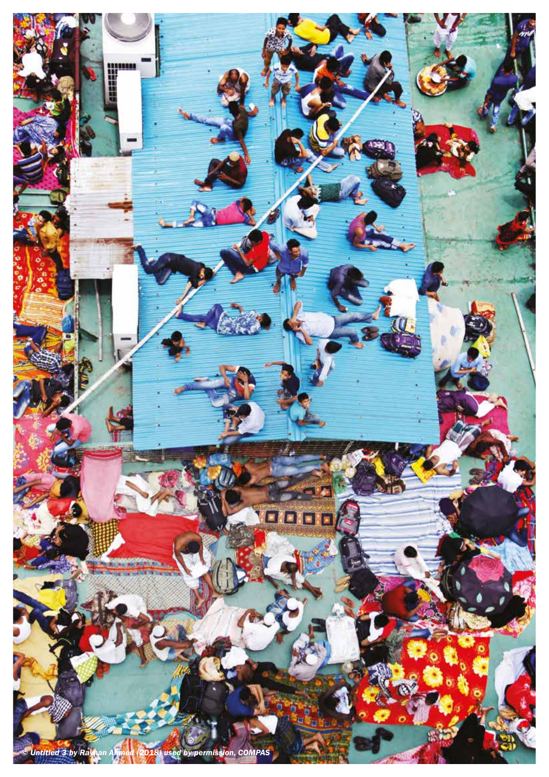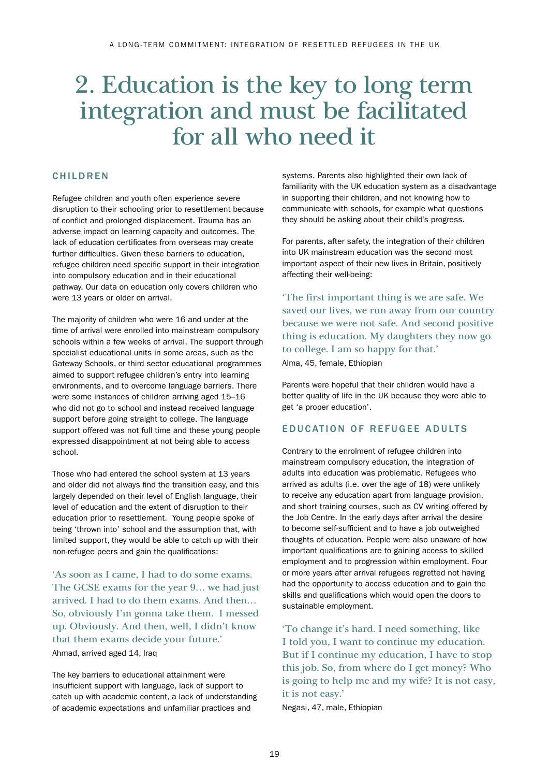## 2. Education is the key to long term integration and must be facilitated for all who need it

## **CHILDREN**

Refugee children and youth often experience severe disruption to their schooling prior to resettlement because of conflict and prolonged displacement. Trauma has an adverse impact on learning capacity and outcomes. The lack of education certificates from overseas may create further difficulties. Given these barriers to education, refugee children need specific support in their integration into compulsory education and in their educational pathway. Our data on education only covers children who were 13 years or older on arrival.

The majority of children who were 16 and under at the time of arrival were enrolled into mainstream compulsory schools within a few weeks of arrival. The support through specialist educational units in some areas, such as the Gateway Schools, or third sector educational programmes aimed to support refugee children's entry into learning environments, and to overcome language barriers. There were some instances of children arriving aged 15–16 who did not go to school and instead received language support before going straight to college. The language support offered was not full time and these young people expressed disappointment at not being able to access school.

Those who had entered the school system at 13 years and older did not always find the transition easy, and this largely depended on their level of English language, their level of education and the extent of disruption to their education prior to resettlement. Young people spoke of being 'thrown into' school and the assumption that, with limited support, they would be able to catch up with their non-refugee peers and gain the qualifications:

'As soon as I came, I had to do some exams. The GCSE exams for the year 9… we had just arrived. I had to do them exams. And then… So, obviously I'm gonna take them. I messed up. Obviously. And then, well, I didn't know that them exams decide your future.'

Ahmad, arrived aged 14, Iraq

The key barriers to educational attainment were insufficient support with language, lack of support to catch up with academic content, a lack of understanding of academic expectations and unfamiliar practices and

systems. Parents also highlighted their own lack of familiarity with the UK education system as a disadvantage in supporting their children, and not knowing how to communicate with schools, for example what questions they should be asking about their child's progress.

For parents, after safety, the integration of their children into UK mainstream education was the second most important aspect of their new lives in Britain, positively affecting their well-being:

'The first important thing is we are safe. We saved our lives, we run away from our country because we were not safe. And second positive thing is education. My daughters they now go to college. I am so happy for that.' Alma, 45, female, Ethiopian

Parents were hopeful that their children would have a better quality of life in the UK because they were able to get 'a proper education'.

### EDUCATION OF REFUGEE ADULTS

Contrary to the enrolment of refugee children into mainstream compulsory education, the integration of adults into education was problematic. Refugees who arrived as adults (i.e. over the age of 18) were unlikely to receive any education apart from language provision, and short training courses, such as CV writing offered by the Job Centre. In the early days after arrival the desire to become self-sufficient and to have a job outweighed thoughts of education. People were also unaware of how important qualifications are to gaining access to skilled employment and to progression within employment. Four or more years after arrival refugees regretted not having had the opportunity to access education and to gain the skills and qualifications which would open the doors to sustainable employment.

'To change it's hard. I need something, like I told you, I want to continue my education. But if I continue my education, I have to stop this job. So, from where do I get money? Who is going to help me and my wife? It is not easy, it is not easy.'

Negasi, 47, male, Ethiopian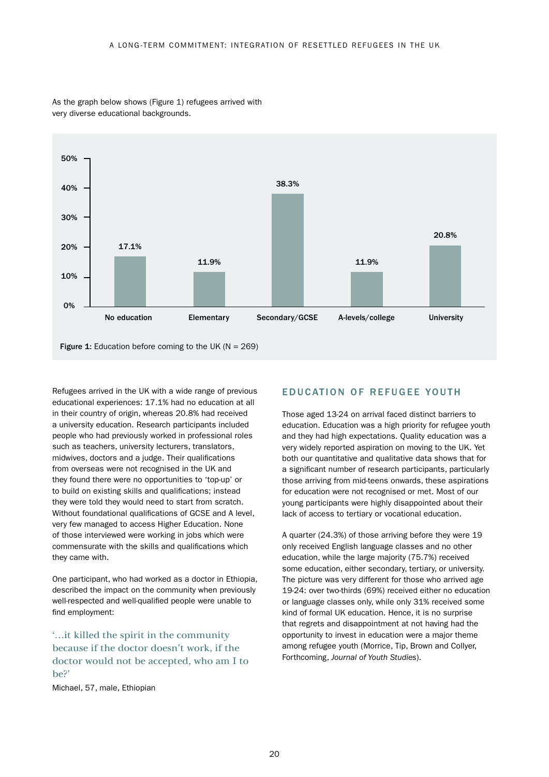

As the graph below shows (Figure 1) refugees arrived with very diverse educational backgrounds.

Figure 1: Education before coming to the UK ( $N = 269$ )

Refugees arrived in the UK with a wide range of previous educational experiences: 17.1% had no education at all in their country of origin, whereas 20.8% had received a university education. Research participants included people who had previously worked in professional roles such as teachers, university lecturers, translators, midwives, doctors and a judge. Their qualifications from overseas were not recognised in the UK and they found there were no opportunities to 'top-up' or to build on existing skills and qualifications; instead they were told they would need to start from scratch. Without foundational qualifications of GCSE and A level, very few managed to access Higher Education. None of those interviewed were working in jobs which were commensurate with the skills and qualifications which they came with.

One participant, who had worked as a doctor in Ethiopia, described the impact on the community when previously well-respected and well-qualified people were unable to find employment:

'…it killed the spirit in the community because if the doctor doesn't work, if the doctor would not be accepted, who am I to be?'

Michael, 57, male, Ethiopian

## EDUCATION OF REFUGEE YOUTH

Those aged 13-24 on arrival faced distinct barriers to education. Education was a high priority for refugee youth and they had high expectations. Quality education was a very widely reported aspiration on moving to the UK. Yet both our quantitative and qualitative data shows that for a significant number of research participants, particularly those arriving from mid-teens onwards, these aspirations for education were not recognised or met. Most of our young participants were highly disappointed about their lack of access to tertiary or vocational education.

A quarter (24.3%) of those arriving before they were 19 only received English language classes and no other education, while the large majority (75.7%) received some education, either secondary, tertiary, or university. The picture was very different for those who arrived age 19-24: over two-thirds (69%) received either no education or language classes only, while only 31% received some kind of formal UK education. Hence, it is no surprise that regrets and disappointment at not having had the opportunity to invest in education were a major theme among refugee youth (Morrice, Tip, Brown and Collyer, Forthcoming, *Journal of Youth Studies*).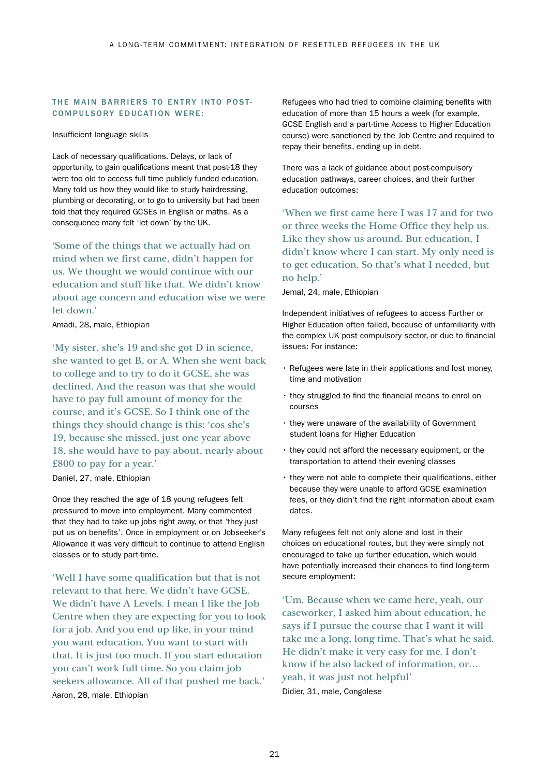#### THE MAIN BARRIERS TO ENTRY INTO POST-COMPULSORY EDUCATION WERE:

Insufficient language skills

Lack of necessary qualifications. Delays, or lack of opportunity, to gain qualifications meant that post-18 they were too old to access full time publicly funded education. Many told us how they would like to study hairdressing, plumbing or decorating, or to go to university but had been told that they required GCSEs in English or maths. As a consequence many felt 'let down' by the UK.

'Some of the things that we actually had on mind when we first came, didn't happen for us. We thought we would continue with our education and stuff like that. We didn't know about age concern and education wise we were let down.'

Amadi, 28, male, Ethiopian

'My sister, she's 19 and she got D in science, she wanted to get B, or A. When she went back to college and to try to do it GCSE, she was declined. And the reason was that she would have to pay full amount of money for the course, and it's GCSE. So I think one of the things they should change is this: 'cos she's 19, because she missed, just one year above 18, she would have to pay about, nearly about £800 to pay for a year.'

Daniel, 27, male, Ethiopian

Once they reached the age of 18 young refugees felt pressured to move into employment. Many commented that they had to take up jobs right away, or that 'they just put us on benefits'. Once in employment or on Jobseeker's Allowance it was very difficult to continue to attend English classes or to study part-time.

'Well I have some qualification but that is not relevant to that here. We didn't have GCSE. We didn't have A Levels. I mean I like the Job Centre when they are expecting for you to look for a job. And you end up like, in your mind you want education. You want to start with that. It is just too much. If you start education you can't work full time. So you claim job seekers allowance. All of that pushed me back.' Aaron, 28, male, Ethiopian

Refugees who had tried to combine claiming benefits with education of more than 15 hours a week (for example, GCSE English and a part-time Access to Higher Education course) were sanctioned by the Job Centre and required to repay their benefits, ending up in debt.

There was a lack of guidance about post-compulsory education pathways, career choices, and their further education outcomes:

'When we first came here I was 17 and for two or three weeks the Home Office they help us. Like they show us around. But education, I didn't know where I can start. My only need is to get education. So that's what I needed, but no help.'

Jemal, 24, male, Ethiopian

Independent initiatives of refugees to access Further or Higher Education often failed, because of unfamiliarity with the complex UK post compulsory sector, or due to financial issues: For instance:

- Refugees were late in their applications and lost money, time and motivation
- they struggled to find the financial means to enrol on courses
- they were unaware of the availability of Government student loans for Higher Education
- they could not afford the necessary equipment, or the transportation to attend their evening classes
- they were not able to complete their qualifications, either because they were unable to afford GCSE examination fees, or they didn't find the right information about exam dates.

Many refugees felt not only alone and lost in their choices on educational routes, but they were simply not encouraged to take up further education, which would have potentially increased their chances to find long-term secure employment:

'Um. Because when we came here, yeah, our caseworker, I asked him about education, he says if I pursue the course that I want it will take me a long, long time. That's what he said. He didn't make it very easy for me. I don't know if he also lacked of information, or… yeah, it was just not helpful' Didier, 31, male, Congolese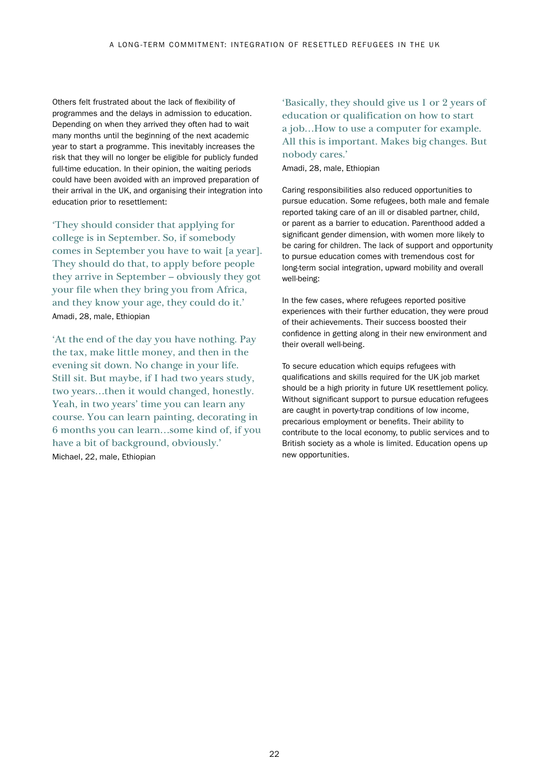Others felt frustrated about the lack of flexibility of programmes and the delays in admission to education. Depending on when they arrived they often had to wait many months until the beginning of the next academic year to start a programme. This inevitably increases the risk that they will no longer be eligible for publicly funded full-time education. In their opinion, the waiting periods could have been avoided with an improved preparation of their arrival in the UK, and organising their integration into education prior to resettlement:

'They should consider that applying for college is in September. So, if somebody comes in September you have to wait [a year]. They should do that, to apply before people they arrive in September – obviously they got your file when they bring you from Africa, and they know your age, they could do it.' Amadi, 28, male, Ethiopian

'At the end of the day you have nothing. Pay the tax, make little money, and then in the evening sit down. No change in your life. Still sit. But maybe, if I had two years study, two years…then it would changed, honestly. Yeah, in two years' time you can learn any course. You can learn painting, decorating in 6 months you can learn…some kind of, if you have a bit of background, obviously.' Michael, 22, male, Ethiopian

'Basically, they should give us 1 or 2 years of education or qualification on how to start a job…How to use a computer for example. All this is important. Makes big changes. But nobody cares.'

Amadi, 28, male, Ethiopian

Caring responsibilities also reduced opportunities to pursue education. Some refugees, both male and female reported taking care of an ill or disabled partner, child, or parent as a barrier to education. Parenthood added a significant gender dimension, with women more likely to be caring for children. The lack of support and opportunity to pursue education comes with tremendous cost for long-term social integration, upward mobility and overall well-being:

In the few cases, where refugees reported positive experiences with their further education, they were proud of their achievements. Their success boosted their confidence in getting along in their new environment and their overall well-being.

To secure education which equips refugees with qualifications and skills required for the UK job market should be a high priority in future UK resettlement policy. Without significant support to pursue education refugees are caught in poverty-trap conditions of low income, precarious employment or benefits. Their ability to contribute to the local economy, to public services and to British society as a whole is limited. Education opens up new opportunities.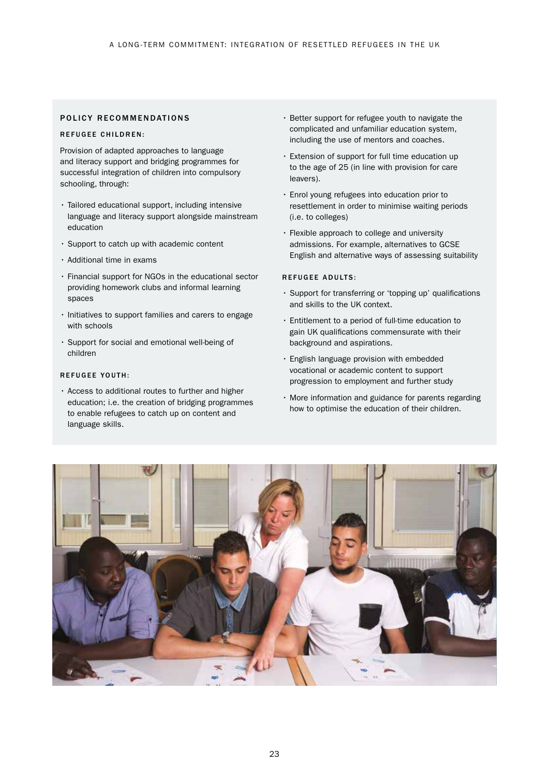#### POLICY RECOMMENDATIONS

#### REFUGEE CHILDREN:

Provision of adapted approaches to language and literacy support and bridging programmes for successful integration of children into compulsory schooling, through:

- Tailored educational support, including intensive language and literacy support alongside mainstream education
- Support to catch up with academic content
- Additional time in exams
- Financial support for NGOs in the educational sector providing homework clubs and informal learning spaces
- Initiatives to support families and carers to engage with schools
- Support for social and emotional well-being of children

#### REFUGEE YOUTH:

• Access to additional routes to further and higher education; i.e. the creation of bridging programmes to enable refugees to catch up on content and language skills.

- Better support for refugee youth to navigate the complicated and unfamiliar education system, including the use of mentors and coaches.
- Extension of support for full time education up to the age of 25 (in line with provision for care leavers).
- Enrol young refugees into education prior to resettlement in order to minimise waiting periods (i.e. to colleges)
- Flexible approach to college and university admissions. For example, alternatives to GCSE English and alternative ways of assessing suitability

#### REFUGEE ADULTS:

- Support for transferring or 'topping up' qualifications and skills to the UK context.
- Entitlement to a period of full-time education to gain UK qualifications commensurate with their background and aspirations.
- English language provision with embedded vocational or academic content to support progression to employment and further study
- More information and guidance for parents regarding how to optimise the education of their children.

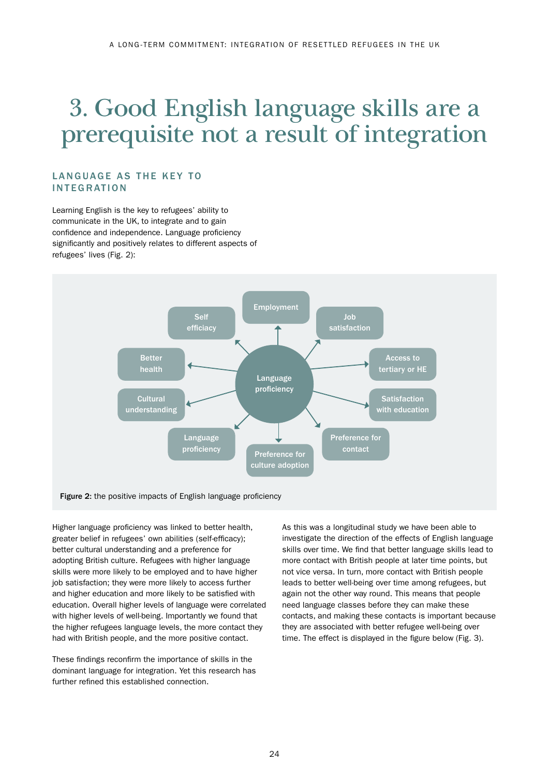## 3. Good English language skills are a prerequisite not a result of integration

### LANGUAGE AS THE KEY TO **INTEGRATION**

Learning English is the key to refugees' ability to communicate in the UK, to integrate and to gain confidence and independence. Language proficiency significantly and positively relates to different aspects of refugees' lives (Fig. 2):



Higher language proficiency was linked to better health, greater belief in refugees' own abilities (self-efficacy); better cultural understanding and a preference for adopting British culture. Refugees with higher language skills were more likely to be employed and to have higher job satisfaction; they were more likely to access further and higher education and more likely to be satisfied with education. Overall higher levels of language were correlated with higher levels of well-being. Importantly we found that the higher refugees language levels, the more contact they had with British people, and the more positive contact.

These findings reconfirm the importance of skills in the dominant language for integration. Yet this research has further refined this established connection.

As this was a longitudinal study we have been able to investigate the direction of the effects of English language skills over time. We find that better language skills lead to more contact with British people at later time points, but not vice versa. In turn, more contact with British people leads to better well-being over time among refugees, but again not the other way round. This means that people need language classes before they can make these contacts, and making these contacts is important because they are associated with better refugee well-being over time. The effect is displayed in the figure below (Fig. 3).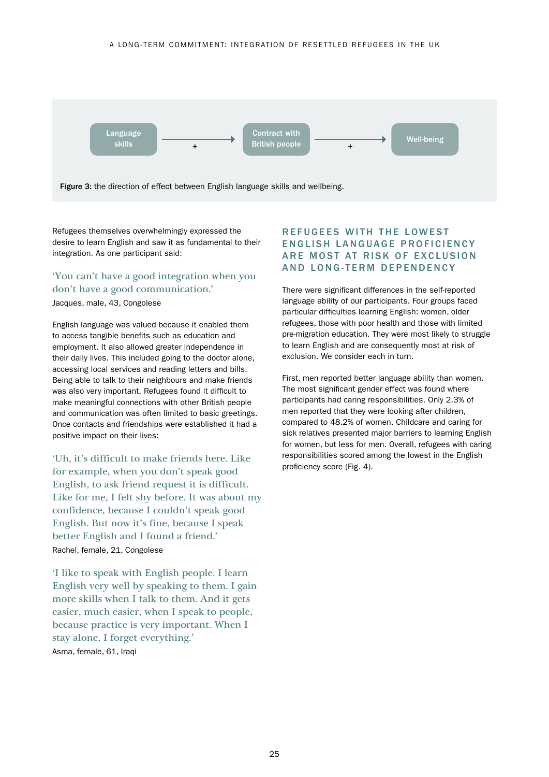

Refugees themselves overwhelmingly expressed the desire to learn English and saw it as fundamental to their integration. As one participant said:

'You can't have a good integration when you don't have a good communication.' Jacques, male, 43, Congolese

English language was valued because it enabled them to access tangible benefits such as education and employment. It also allowed greater independence in their daily lives. This included going to the doctor alone, accessing local services and reading letters and bills. Being able to talk to their neighbours and make friends was also very important. Refugees found it difficult to make meaningful connections with other British people and communication was often limited to basic greetings. Once contacts and friendships were established it had a positive impact on their lives:

'Uh, it's difficult to make friends here. Like for example, when you don't speak good English, to ask friend request it is difficult. Like for me, I felt shy before. It was about my confidence, because I couldn't speak good English. But now it's fine, because I speak better English and I found a friend.' Rachel, female, 21, Congolese

'I like to speak with English people. I learn English very well by speaking to them. I gain more skills when I talk to them. And it gets easier, much easier, when I speak to people, because practice is very important. When I stay alone, I forget everything.' Asma, female, 61, Iraqi

## R F F U G F F S WITH THE LOWEST ENGLISH LANGUAGE PROFICIENCY ARE MOST AT RISK OF EXCLUSION AND LONG-TERM DEPENDENCY

There were significant differences in the self-reported language ability of our participants. Four groups faced particular difficulties learning English: women, older refugees, those with poor health and those with limited pre-migration education. They were most likely to struggle to learn English and are consequently most at risk of exclusion. We consider each in turn.

First, men reported better language ability than women. The most significant gender effect was found where participants had caring responsibilities. Only 2.3% of men reported that they were looking after children, compared to 48.2% of women. Childcare and caring for sick relatives presented major barriers to learning English for women, but less for men. Overall, refugees with caring responsibilities scored among the lowest in the English proficiency score (Fig. 4).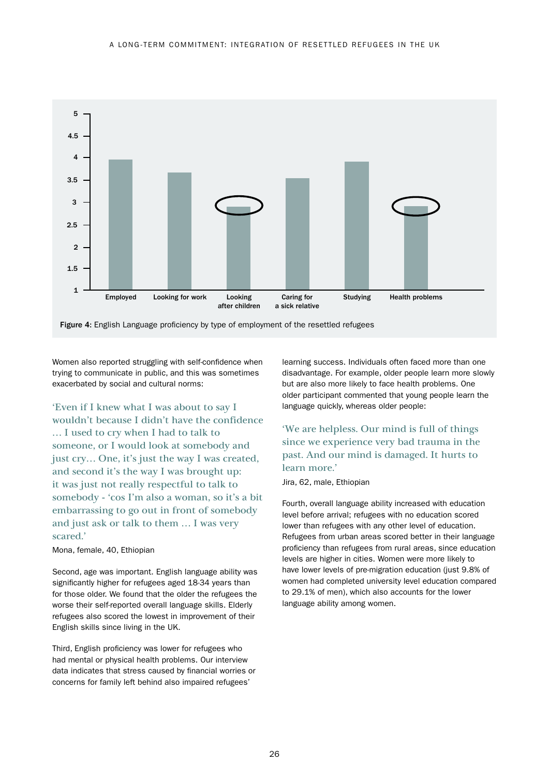

Figure 4: English Language proficiency by type of employment of the resettled refugees

Women also reported struggling with self-confidence when trying to communicate in public, and this was sometimes exacerbated by social and cultural norms:

'Even if I knew what I was about to say I wouldn't because I didn't have the confidence … I used to cry when I had to talk to someone, or I would look at somebody and just cry… One, it's just the way I was created, and second it's the way I was brought up: it was just not really respectful to talk to somebody - 'cos I'm also a woman, so it's a bit embarrassing to go out in front of somebody and just ask or talk to them … I was very scared.'

#### Mona, female, 40, Ethiopian

Second, age was important. English language ability was significantly higher for refugees aged 18-34 years than for those older. We found that the older the refugees the worse their self-reported overall language skills. Elderly refugees also scored the lowest in improvement of their English skills since living in the UK.

Third, English proficiency was lower for refugees who had mental or physical health problems. Our interview data indicates that stress caused by financial worries or concerns for family left behind also impaired refugees'

learning success. Individuals often faced more than one disadvantage. For example, older people learn more slowly but are also more likely to face health problems. One older participant commented that young people learn the language quickly, whereas older people:

## 'We are helpless. Our mind is full of things since we experience very bad trauma in the past. And our mind is damaged. It hurts to learn more.'

Jira, 62, male, Ethiopian

Fourth, overall language ability increased with education level before arrival; refugees with no education scored lower than refugees with any other level of education. Refugees from urban areas scored better in their language proficiency than refugees from rural areas, since education levels are higher in cities. Women were more likely to have lower levels of pre-migration education (just 9.8% of women had completed university level education compared to 29.1% of men), which also accounts for the lower language ability among women.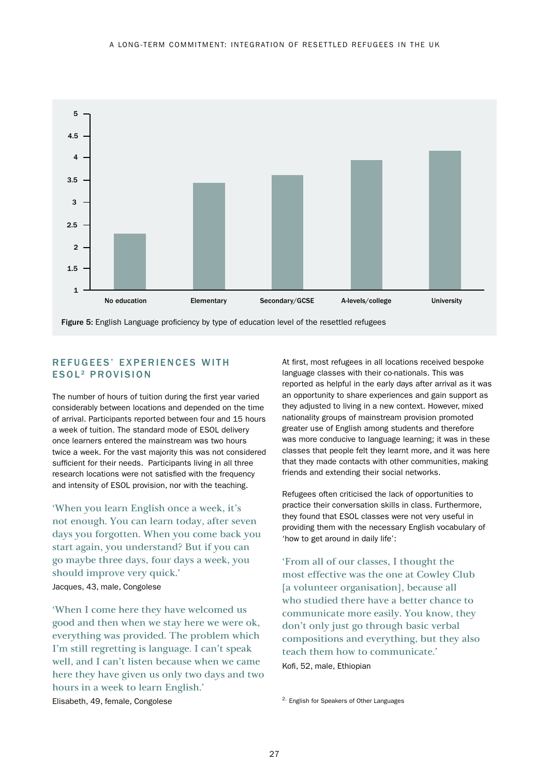

REFUGEES' EXPERIENCES WITH

## ESOL<sup>2</sup> PROVISION

The number of hours of tuition during the first year varied considerably between locations and depended on the time of arrival. Participants reported between four and 15 hours a week of tuition. The standard mode of ESOL delivery once learners entered the mainstream was two hours twice a week. For the vast majority this was not considered sufficient for their needs. Participants living in all three research locations were not satisfied with the frequency and intensity of ESOL provision, nor with the teaching.

'When you learn English once a week, it's not enough. You can learn today, after seven days you forgotten. When you come back you start again, you understand? But if you can go maybe three days, four days a week, you should improve very quick.' Jacques, 43, male, Congolese

'When I come here they have welcomed us good and then when we stay here we were ok, everything was provided. The problem which I'm still regretting is language. I can't speak well, and I can't listen because when we came here they have given us only two days and two hours in a week to learn English.'

At first, most refugees in all locations received bespoke language classes with their co-nationals. This was reported as helpful in the early days after arrival as it was an opportunity to share experiences and gain support as they adjusted to living in a new context. However, mixed nationality groups of mainstream provision promoted greater use of English among students and therefore was more conducive to language learning; it was in these classes that people felt they learnt more, and it was here that they made contacts with other communities, making friends and extending their social networks.

Refugees often criticised the lack of opportunities to practice their conversation skills in class. Furthermore, they found that ESOL classes were not very useful in providing them with the necessary English vocabulary of 'how to get around in daily life':

'From all of our classes, I thought the most effective was the one at Cowley Club [a volunteer organisation], because all who studied there have a better chance to communicate more easily. You know, they don't only just go through basic verbal compositions and everything, but they also teach them how to communicate.' Kofi, 52, male, Ethiopian

2. English for Speakers of Other Languages

Elisabeth, 49, female, Congolese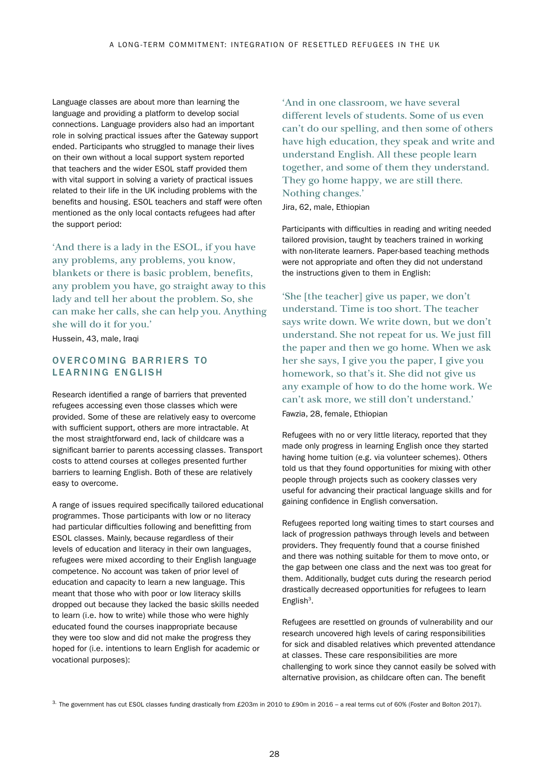Language classes are about more than learning the language and providing a platform to develop social connections. Language providers also had an important role in solving practical issues after the Gateway support ended. Participants who struggled to manage their lives on their own without a local support system reported that teachers and the wider ESOL staff provided them with vital support in solving a variety of practical issues related to their life in the UK including problems with the benefits and housing. ESOL teachers and staff were often mentioned as the only local contacts refugees had after the support period:

'And there is a lady in the ESOL, if you have any problems, any problems, you know, blankets or there is basic problem, benefits, any problem you have, go straight away to this lady and tell her about the problem. So, she can make her calls, she can help you. Anything she will do it for you.'

Hussein, 43, male, Iraqi

## OVERCOMING BARRIERS TO LEARNING ENGLISH

Research identified a range of barriers that prevented refugees accessing even those classes which were provided. Some of these are relatively easy to overcome with sufficient support, others are more intractable. At the most straightforward end, lack of childcare was a significant barrier to parents accessing classes. Transport costs to attend courses at colleges presented further barriers to learning English. Both of these are relatively easy to overcome.

A range of issues required specifically tailored educational programmes. Those participants with low or no literacy had particular difficulties following and benefitting from ESOL classes. Mainly, because regardless of their levels of education and literacy in their own languages, refugees were mixed according to their English language competence. No account was taken of prior level of education and capacity to learn a new language. This meant that those who with poor or low literacy skills dropped out because they lacked the basic skills needed to learn (i.e. how to write) while those who were highly educated found the courses inappropriate because they were too slow and did not make the progress they hoped for (i.e. intentions to learn English for academic or vocational purposes):

'And in one classroom, we have several different levels of students. Some of us even can't do our spelling, and then some of others have high education, they speak and write and understand English. All these people learn together, and some of them they understand. They go home happy, we are still there. Nothing changes.'

Jira, 62, male, Ethiopian

Participants with difficulties in reading and writing needed tailored provision, taught by teachers trained in working with non-literate learners. Paper-based teaching methods were not appropriate and often they did not understand the instructions given to them in English:

'She [the teacher] give us paper, we don't understand. Time is too short. The teacher says write down. We write down, but we don't understand. She not repeat for us. We just fill the paper and then we go home. When we ask her she says, I give you the paper, I give you homework, so that's it. She did not give us any example of how to do the home work. We can't ask more, we still don't understand.' Fawzia, 28, female, Ethiopian

Refugees with no or very little literacy, reported that they made only progress in learning English once they started having home tuition (e.g. via volunteer schemes). Others told us that they found opportunities for mixing with other people through projects such as cookery classes very useful for advancing their practical language skills and for gaining confidence in English conversation.

Refugees reported long waiting times to start courses and lack of progression pathways through levels and between providers. They frequently found that a course finished and there was nothing suitable for them to move onto, or the gap between one class and the next was too great for them. Additionally, budget cuts during the research period drastically decreased opportunities for refugees to learn English<sup>3</sup>.

Refugees are resettled on grounds of vulnerability and our research uncovered high levels of caring responsibilities for sick and disabled relatives which prevented attendance at classes. These care responsibilities are more challenging to work since they cannot easily be solved with alternative provision, as childcare often can. The benefit

3. The government has cut ESOL classes funding drastically from £203m in 2010 to £90m in 2016 - a real terms cut of 60% (Foster and Bolton 2017).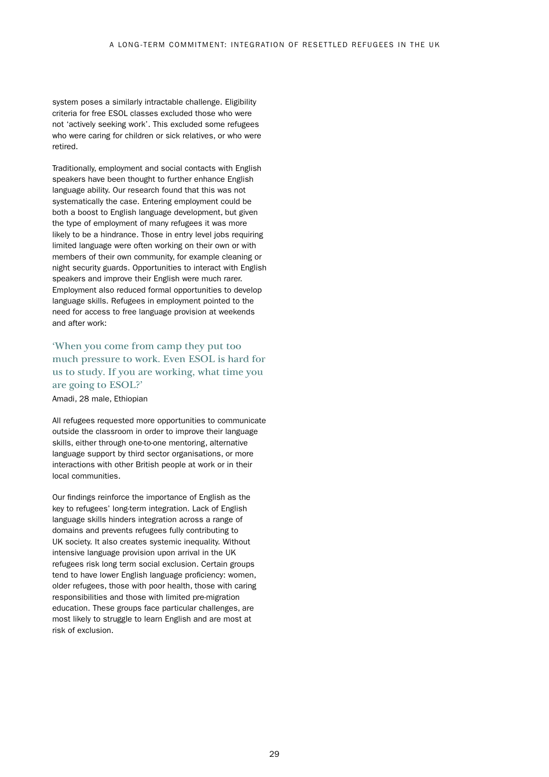system poses a similarly intractable challenge. Eligibility criteria for free ESOL classes excluded those who were not 'actively seeking work'. This excluded some refugees who were caring for children or sick relatives, or who were retired.

Traditionally, employment and social contacts with English speakers have been thought to further enhance English language ability. Our research found that this was not systematically the case. Entering employment could be both a boost to English language development, but given the type of employment of many refugees it was more likely to be a hindrance. Those in entry level jobs requiring limited language were often working on their own or with members of their own community, for example cleaning or night security guards. Opportunities to interact with English speakers and improve their English were much rarer. Employment also reduced formal opportunities to develop language skills. Refugees in employment pointed to the need for access to free language provision at weekends and after work:

## 'When you come from camp they put too much pressure to work. Even ESOL is hard for us to study. If you are working, what time you are going to ESOL?'

Amadi, 28 male, Ethiopian

All refugees requested more opportunities to communicate outside the classroom in order to improve their language skills, either through one-to-one mentoring, alternative language support by third sector organisations, or more interactions with other British people at work or in their local communities.

Our findings reinforce the importance of English as the key to refugees' long-term integration. Lack of English language skills hinders integration across a range of domains and prevents refugees fully contributing to UK society. It also creates systemic inequality. Without intensive language provision upon arrival in the UK refugees risk long term social exclusion. Certain groups tend to have lower English language proficiency: women, older refugees, those with poor health, those with caring responsibilities and those with limited pre-migration education. These groups face particular challenges, are most likely to struggle to learn English and are most at risk of exclusion.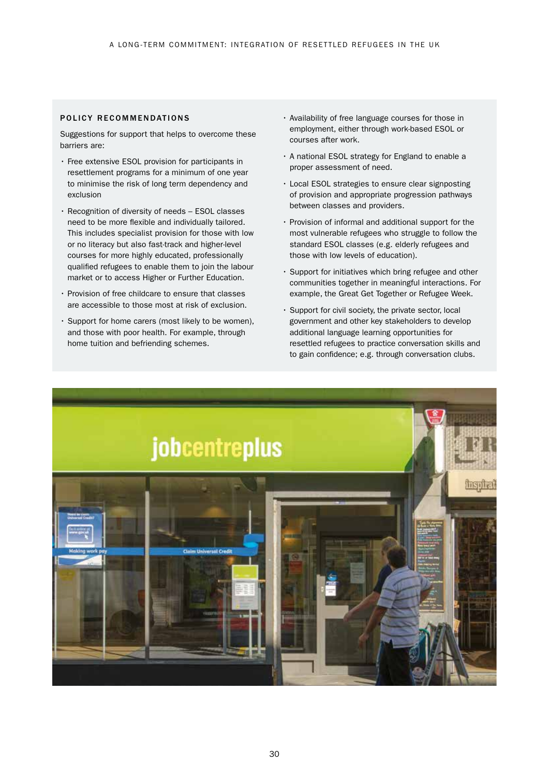#### POLICY RECOMMENDATIONS

Suggestions for support that helps to overcome these barriers are:

- Free extensive ESOL provision for participants in resettlement programs for a minimum of one year to minimise the risk of long term dependency and exclusion
- Recognition of diversity of needs ESOL classes need to be more flexible and individually tailored. This includes specialist provision for those with low or no literacy but also fast-track and higher-level courses for more highly educated, professionally qualified refugees to enable them to join the labour market or to access Higher or Further Education.
- Provision of free childcare to ensure that classes are accessible to those most at risk of exclusion.
- Support for home carers (most likely to be women), and those with poor health. For example, through home tuition and befriending schemes.
- Availability of free language courses for those in employment, either through work-based ESOL or courses after work.
- A national ESOL strategy for England to enable a proper assessment of need.
- Local ESOL strategies to ensure clear signposting of provision and appropriate progression pathways between classes and providers.
- Provision of informal and additional support for the most vulnerable refugees who struggle to follow the standard ESOL classes (e.g. elderly refugees and those with low levels of education).
- Support for initiatives which bring refugee and other communities together in meaningful interactions. For example, the Great Get Together or Refugee Week.
- Support for civil society, the private sector, local government and other key stakeholders to develop additional language learning opportunities for resettled refugees to practice conversation skills and to gain confidence; e.g. through conversation clubs.

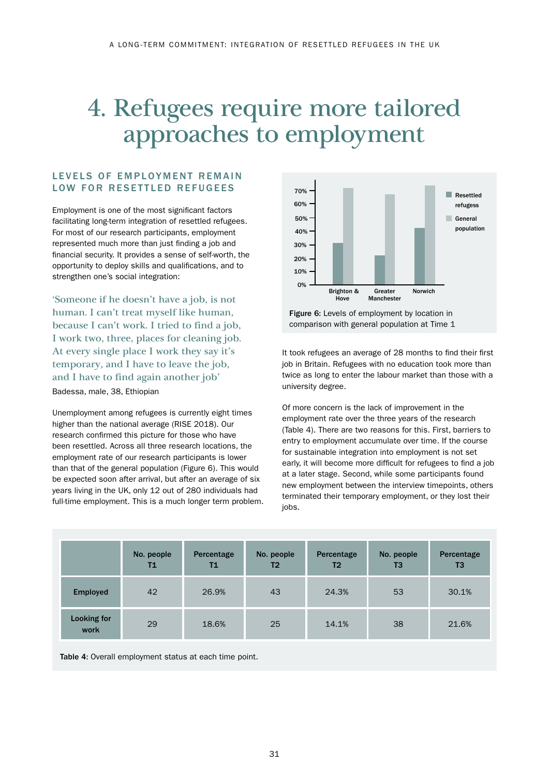# 4. Refugees require more tailored approaches to employment

### LEVELS OF EMPLOYMENT REMAIN LOW FOR RESETTLED REFUGEES

Employment is one of the most significant factors facilitating long-term integration of resettled refugees. For most of our research participants, employment represented much more than just finding a job and financial security. It provides a sense of self-worth, the opportunity to deploy skills and qualifications, and to strengthen one's social integration:

'Someone if he doesn't have a job, is not human. I can't treat myself like human, because I can't work. I tried to find a job, I work two, three, places for cleaning job. At every single place I work they say it's temporary, and I have to leave the job, and I have to find again another job'

Badessa, male, 38, Ethiopian

Unemployment among refugees is currently eight times higher than the national average (RISE 2018). Our research confirmed this picture for those who have been resettled. Across all three research locations, the employment rate of our research participants is lower than that of the general population (Figure 6). This would be expected soon after arrival, but after an average of six years living in the UK, only 12 out of 280 individuals had full-time employment. This is a much longer term problem.



Figure 6: Levels of employment by location in comparison with general population at Time 1

It took refugees an average of 28 months to find their first job in Britain. Refugees with no education took more than twice as long to enter the labour market than those with a university degree.

Of more concern is the lack of improvement in the employment rate over the three years of the research (Table 4). There are two reasons for this. First, barriers to entry to employment accumulate over time. If the course for sustainable integration into employment is not set early, it will become more difficult for refugees to find a job at a later stage. Second, while some participants found new employment between the interview timepoints, others terminated their temporary employment, or they lost their jobs.

|                     | No. people<br><b>T1</b> | Percentage<br>Τ1 | No. people<br>T <sub>2</sub> | Percentage<br>T2 | No. people<br>T <sub>3</sub> | Percentage<br>T3 |
|---------------------|-------------------------|------------------|------------------------------|------------------|------------------------------|------------------|
| <b>Employed</b>     | 42                      | 26.9%            | 43                           | 24.3%            | 53                           | 30.1%            |
| Looking for<br>work | 29                      | 18.6%            | 25                           | 14.1%            | 38                           | 21.6%            |

Table 4: Overall employment status at each time point.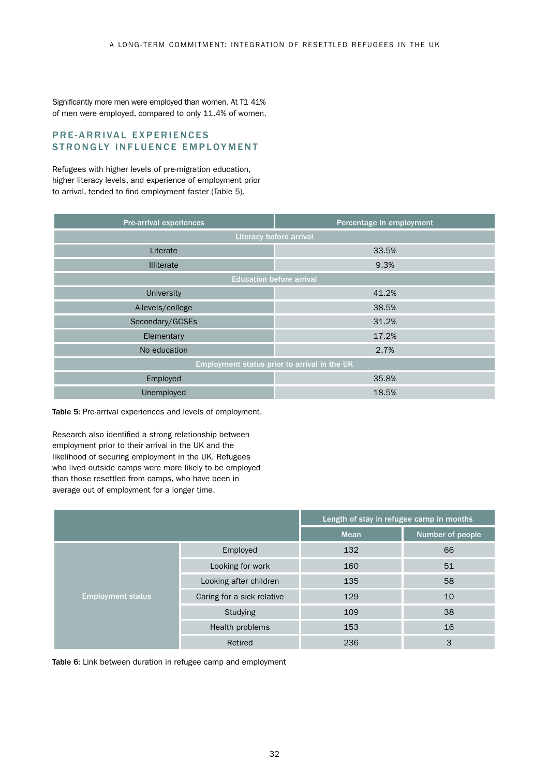Significantly more men were employed than women. At T1 41% of men were employed, compared to only 11.4% of women.

### PRE-ARRIVAL EXPERIENCES STRONGLY INFLUENCE EMPLOYMENT

Refugees with higher levels of pre-migration education, higher literacy levels, and experience of employment prior to arrival, tended to find employment faster (Table 5).

| Pre-arrival experiences | Percentage in employment                     |  |  |  |
|-------------------------|----------------------------------------------|--|--|--|
| Literacy before arrival |                                              |  |  |  |
| Literate                | 33.5%                                        |  |  |  |
| <b>Illiterate</b>       | 9.3%                                         |  |  |  |
|                         | <b>Education before arrival</b>              |  |  |  |
| University              | 41.2%                                        |  |  |  |
| A-levels/college        | 38.5%                                        |  |  |  |
| Secondary/GCSEs         | 31.2%                                        |  |  |  |
| Elementary              | 17.2%                                        |  |  |  |
| No education            | 2.7%                                         |  |  |  |
|                         | Employment status prior to arrival in the UK |  |  |  |
| Employed                | 35.8%                                        |  |  |  |
| Unemployed              | 18.5%                                        |  |  |  |

Table 5: Pre-arrival experiences and levels of employment.

Research also identified a strong relationship between employment prior to their arrival in the UK and the likelihood of securing employment in the UK. Refugees who lived outside camps were more likely to be employed than those resettled from camps, who have been in average out of employment for a longer time.

|                          |                            | Length of stay in refugee camp in months |                  |  |
|--------------------------|----------------------------|------------------------------------------|------------------|--|
|                          |                            | <b>Mean</b>                              | Number of people |  |
|                          | Employed                   | 132                                      | 66               |  |
|                          | Looking for work           | 160                                      | 51               |  |
|                          | Looking after children     | 135                                      | 58               |  |
| <b>Employment status</b> | Caring for a sick relative | 129                                      | 10               |  |
|                          | <b>Studying</b>            | 109                                      | 38               |  |
|                          | Health problems            | 153                                      | 16               |  |
|                          | Retired                    | 236                                      | 3                |  |

Table 6: Link between duration in refugee camp and employment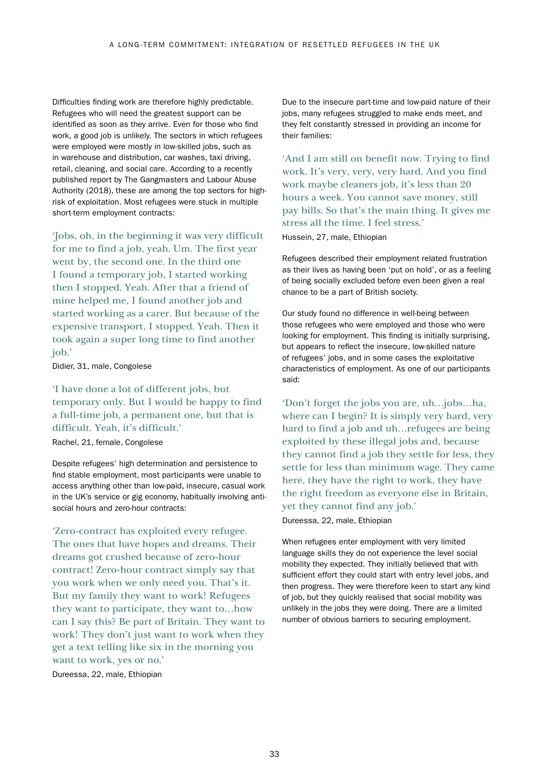Difficulties finding work are therefore highly predictable. Refugees who will need the greatest support can be identified as soon as they arrive. Even for those who find work, a good job is unlikely. The sectors in which refugees were employed were mostly in low-skilled jobs, such as in warehouse and distribution, car washes, taxi driving, retail, cleaning, and social care. According to a recently published report by The Gangmasters and Labour Abuse Authority (2018), these are among the top sectors for highrisk of exploitation. Most refugees were stuck in multiple short-term employment contracts:

'Jobs, oh, in the beginning it was very difficult for me to find a job, yeah. Um. The first year went by, the second one. In the third one I found a temporary job, I started working then I stopped. Yeah. After that a friend of mine helped me, I found another job and started working as a carer. But because of the expensive transport, I stopped. Yeah. Then it took again a super long time to find another job.'

#### Didier, 31, male, Congolese

## 'I have done a lot of different jobs, but temporary only. But I would be happy to find a full-time job, a permanent one, but that is difficult. Yeah, it's difficult.'

Rachel, 21, female, Congolese

Despite refugees' high determination and persistence to find stable employment, most participants were unable to access anything other than low-paid, insecure, casual work in the UK's service or gig economy, habitually involving antisocial hours and zero-hour contracts:

'Zero-contract has exploited every refugee. The ones that have hopes and dreams. Their dreams got crushed because of zero-hour contract! Zero-hour contract simply say that you work when we only need you. That's it. But my family they want to work! Refugees they want to participate, they want to…how can I say this? Be part of Britain. They want to work! They don't just want to work when they get a text telling like six in the morning you want to work, yes or no.' Dureessa, 22, male, Ethiopian

Due to the insecure part-time and low-paid nature of their jobs, many refugees struggled to make ends meet, and they felt constantly stressed in providing an income for their families:

'And I am still on benefit now. Trying to find work. It's very, very, very hard. And you find work maybe cleaners job, it's less than 20 hours a week. You cannot save money, still pay bills. So that's the main thing. It gives me stress all the time. I feel stress.'

Hussein, 27, male, Ethiopian

Refugees described their employment related frustration as their lives as having been 'put on hold', or as a feeling of being socially excluded before even been given a real chance to be a part of British society.

Our study found no difference in well-being between those refugees who were employed and those who were looking for employment. This finding is initially surprising, but appears to reflect the insecure, low-skilled nature of refugees' jobs, and in some cases the exploitative characteristics of employment. As one of our participants said:

'Don't forget the jobs you are, uh…jobs…ha, where can I begin? It is simply very hard, very hard to find a job and uh…refugees are being exploited by these illegal jobs and, because they cannot find a job they settle for less, they settle for less than minimum wage. They came here, they have the right to work, they have the right freedom as everyone else in Britain, yet they cannot find any job.'

Dureessa, 22, male, Ethiopian

When refugees enter employment with very limited language skills they do not experience the level social mobility they expected. They initially believed that with sufficient effort they could start with entry level jobs, and then progress. They were therefore keen to start any kind of job, but they quickly realised that social mobility was unlikely in the jobs they were doing. There are a limited number of obvious barriers to securing employment.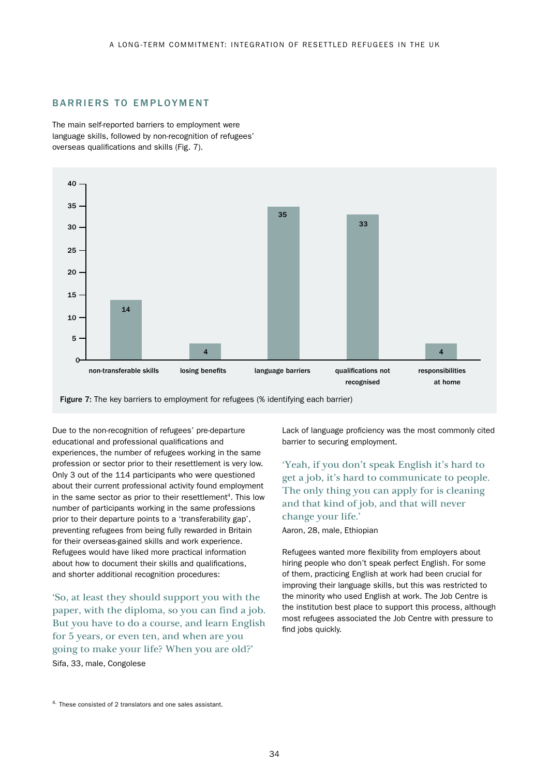#### BARRIERS TO EMPLOYMENT

The main self-reported barriers to employment were language skills, followed by non-recognition of refugees' overseas qualifications and skills (Fig. 7).



Figure 7: The key barriers to employment for refugees (% identifying each barrier)

Due to the non-recognition of refugees' pre-departure educational and professional qualifications and experiences, the number of refugees working in the same profession or sector prior to their resettlement is very low. Only 3 out of the 114 participants who were questioned about their current professional activity found employment in the same sector as prior to their resettlement<sup>4</sup>. This low number of participants working in the same professions prior to their departure points to a 'transferability gap', preventing refugees from being fully rewarded in Britain for their overseas-gained skills and work experience. Refugees would have liked more practical information about how to document their skills and qualifications, and shorter additional recognition procedures:

'So, at least they should support you with the paper, with the diploma, so you can find a job. But you have to do a course, and learn English for 5 years, or even ten, and when are you going to make your life? When you are old?' Sifa, 33, male, Congolese

Lack of language proficiency was the most commonly cited barrier to securing employment.

'Yeah, if you don't speak English it's hard to get a job, it's hard to communicate to people. The only thing you can apply for is cleaning and that kind of job, and that will never change your life.'

Aaron, 28, male, Ethiopian

Refugees wanted more flexibility from employers about hiring people who don't speak perfect English. For some of them, practicing English at work had been crucial for improving their language skills, but this was restricted to the minority who used English at work. The Job Centre is the institution best place to support this process, although most refugees associated the Job Centre with pressure to find jobs quickly.

<sup>4.</sup> These consisted of 2 translators and one sales assistant.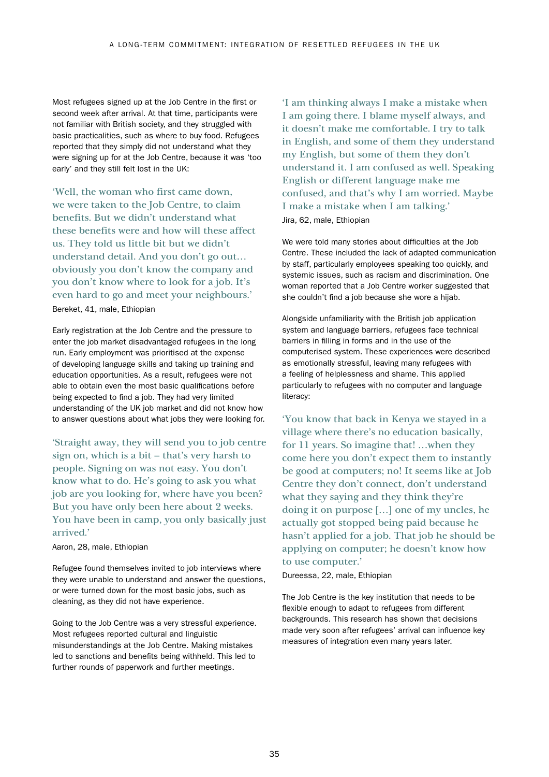Most refugees signed up at the Job Centre in the first or second week after arrival. At that time, participants were not familiar with British society, and they struggled with basic practicalities, such as where to buy food. Refugees reported that they simply did not understand what they were signing up for at the Job Centre, because it was 'too early' and they still felt lost in the UK:

'Well, the woman who first came down, we were taken to the Job Centre, to claim benefits. But we didn't understand what these benefits were and how will these affect us. They told us little bit but we didn't understand detail. And you don't go out… obviously you don't know the company and you don't know where to look for a job. It's even hard to go and meet your neighbours.' Bereket, 41, male, Ethiopian

Early registration at the Job Centre and the pressure to enter the job market disadvantaged refugees in the long run. Early employment was prioritised at the expense of developing language skills and taking up training and education opportunities. As a result, refugees were not able to obtain even the most basic qualifications before being expected to find a job. They had very limited understanding of the UK job market and did not know how to answer questions about what jobs they were looking for.

'Straight away, they will send you to job centre sign on, which is a bit – that's very harsh to people. Signing on was not easy. You don't know what to do. He's going to ask you what job are you looking for, where have you been? But you have only been here about 2 weeks. You have been in camp, you only basically just arrived.'

Aaron, 28, male, Ethiopian

Refugee found themselves invited to job interviews where they were unable to understand and answer the questions, or were turned down for the most basic jobs, such as cleaning, as they did not have experience.

Going to the Job Centre was a very stressful experience. Most refugees reported cultural and linguistic misunderstandings at the Job Centre. Making mistakes led to sanctions and benefits being withheld. This led to further rounds of paperwork and further meetings.

'I am thinking always I make a mistake when I am going there. I blame myself always, and it doesn't make me comfortable. I try to talk in English, and some of them they understand my English, but some of them they don't understand it. I am confused as well. Speaking English or different language make me confused, and that's why I am worried. Maybe I make a mistake when I am talking.' Jira, 62, male, Ethiopian

We were told many stories about difficulties at the Job Centre. These included the lack of adapted communication by staff, particularly employees speaking too quickly, and systemic issues, such as racism and discrimination. One woman reported that a Job Centre worker suggested that she couldn't find a job because she wore a hijab.

Alongside unfamiliarity with the British job application system and language barriers, refugees face technical barriers in filling in forms and in the use of the computerised system. These experiences were described as emotionally stressful, leaving many refugees with a feeling of helplessness and shame. This applied particularly to refugees with no computer and language literacy:

'You know that back in Kenya we stayed in a village where there's no education basically, for 11 years. So imagine that! …when they come here you don't expect them to instantly be good at computers; no! It seems like at Job Centre they don't connect, don't understand what they saying and they think they're doing it on purpose […] one of my uncles, he actually got stopped being paid because he hasn't applied for a job. That job he should be applying on computer; he doesn't know how to use computer.'

Dureessa, 22, male, Ethiopian

The Job Centre is the key institution that needs to be flexible enough to adapt to refugees from different backgrounds. This research has shown that decisions made very soon after refugees' arrival can influence key measures of integration even many years later.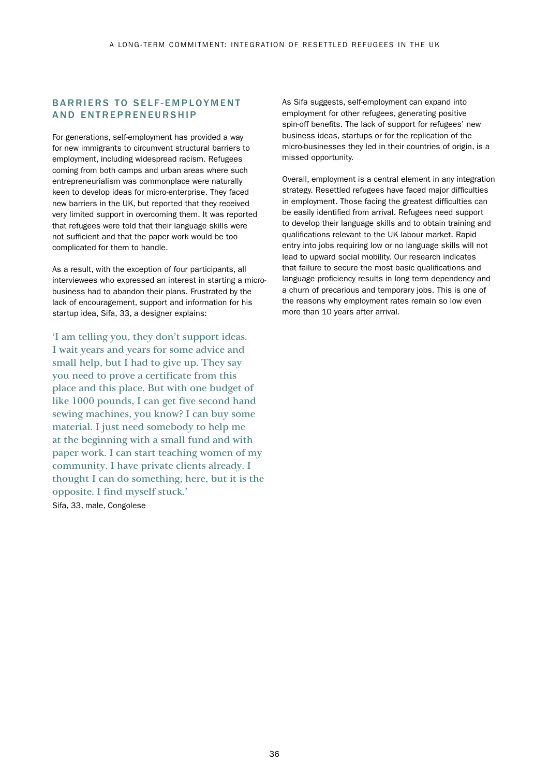### BARRIERS TO SELF-EMPLOYMENT AND ENTREPRENEURSHIP

For generations, self-employment has provided a way for new immigrants to circumvent structural barriers to employment, including widespread racism. Refugees coming from both camps and urban areas where such entrepreneurialism was commonplace were naturally keen to develop ideas for micro-enterprise. They faced new barriers in the UK, but reported that they received very limited support in overcoming them. It was reported that refugees were told that their language skills were not sufficient and that the paper work would be too complicated for them to handle.

As a result, with the exception of four participants, all interviewees who expressed an interest in starting a microbusiness had to abandon their plans. Frustrated by the lack of encouragement, support and information for his startup idea, Sifa, 33, a designer explains:

'I am telling you, they don't support ideas. I wait years and years for some advice and small help, but I had to give up. They say you need to prove a certificate from this place and this place. But with one budget of like 1000 pounds, I can get five second hand sewing machines, you know? I can buy some material. I just need somebody to help me at the beginning with a small fund and with paper work. I can start teaching women of my community. I have private clients already. I thought I can do something, here, but it is the opposite. I find myself stuck.' Sifa, 33, male, Congolese

As Sifa suggests, self-employment can expand into employment for other refugees, generating positive spin-off benefits. The lack of support for refugees' new business ideas, startups or for the replication of the micro-businesses they led in their countries of origin, is a missed opportunity.

Overall, employment is a central element in any integration strategy. Resettled refugees have faced major difficulties in employment. Those facing the greatest difficulties can be easily identified from arrival. Refugees need support to develop their language skills and to obtain training and qualifications relevant to the UK labour market. Rapid entry into jobs requiring low or no language skills will not lead to upward social mobility. Our research indicates that failure to secure the most basic qualifications and language proficiency results in long term dependency and a churn of precarious and temporary jobs. This is one of the reasons why employment rates remain so low even more than 10 years after arrival.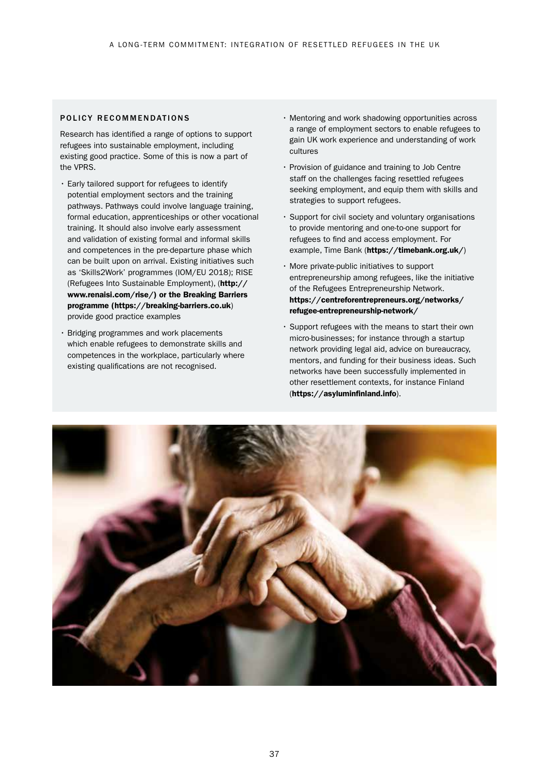#### POLICY RECOMMENDATIONS

Research has identified a range of options to support refugees into sustainable employment, including existing good practice. Some of this is now a part of the VPRS.

- Early tailored support for refugees to identify potential employment sectors and the training pathways. Pathways could involve language training, formal education, apprenticeships or other vocational training. It should also involve early assessment and validation of existing formal and informal skills and competences in the pre-departure phase which can be built upon on arrival. Existing initiatives such as 'Skills2Work' programmes (IOM/EU 2018); RISE (Refugees Into Sustainable Employment), ([http://](https://breaking-barriers.co.uk) [www.renaisi.com/rise/\) or the Breaking Barriers](https://breaking-barriers.co.uk)  [programme \(https://breaking-barriers.co.uk](https://breaking-barriers.co.uk)) provide good practice examples
- Bridging programmes and work placements which enable refugees to demonstrate skills and competences in the workplace, particularly where existing qualifications are not recognised.
- Mentoring and work shadowing opportunities across a range of employment sectors to enable refugees to gain UK work experience and understanding of work cultures
- Provision of guidance and training to Job Centre staff on the challenges facing resettled refugees seeking employment, and equip them with skills and strategies to support refugees.
- Support for civil society and voluntary organisations to provide mentoring and one-to-one support for refugees to find and access employment. For example, Time Bank (<https://timebank.org.uk/>)
- More private-public initiatives to support entrepreneurship among refugees, like the initiative of the Refugees Entrepreneurship Network. [https://centreforentrepreneurs.org/networks/](https://centreforentrepreneurs.org/networks/refugee-entrepreneurship-network/) [refugee-entrepreneurship-network/](https://centreforentrepreneurs.org/networks/refugee-entrepreneurship-network/)
- Support refugees with the means to start their own micro-businesses; for instance through a startup network providing legal aid, advice on bureaucracy, mentors, and funding for their business ideas. Such networks have been successfully implemented in other resettlement contexts, for instance Finland (<https://asyluminfinland.info>).

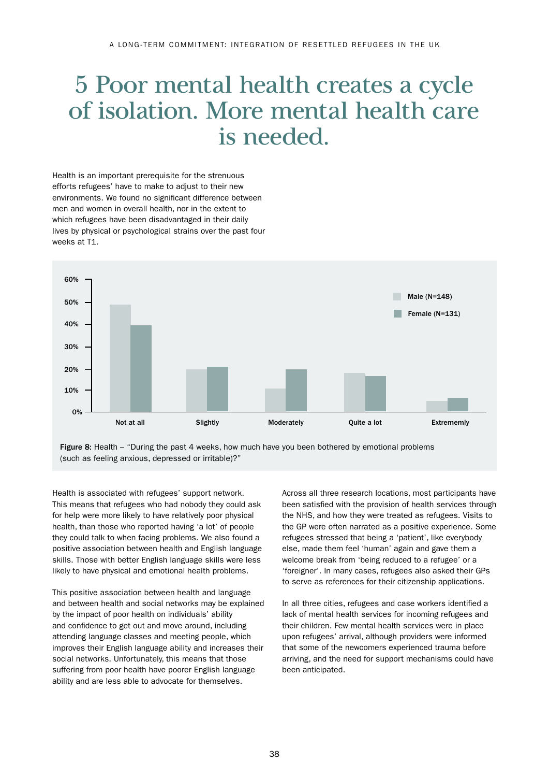## 5 Poor mental health creates a cycle of isolation. More mental health care is needed.

Health is an important prerequisite for the strenuous efforts refugees' have to make to adjust to their new environments. We found no significant difference between men and women in overall health, nor in the extent to which refugees have been disadvantaged in their daily lives by physical or psychological strains over the past four weeks at T1.



Figure 8: Health – "During the past 4 weeks, how much have you been bothered by emotional problems (such as feeling anxious, depressed or irritable)?"

Health is associated with refugees' support network. This means that refugees who had nobody they could ask for help were more likely to have relatively poor physical health, than those who reported having 'a lot' of people they could talk to when facing problems. We also found a positive association between health and English language skills. Those with better English language skills were less likely to have physical and emotional health problems.

This positive association between health and language and between health and social networks may be explained by the impact of poor health on individuals' ability and confidence to get out and move around, including attending language classes and meeting people, which improves their English language ability and increases their social networks. Unfortunately, this means that those suffering from poor health have poorer English language ability and are less able to advocate for themselves.

Across all three research locations, most participants have been satisfied with the provision of health services through the NHS, and how they were treated as refugees. Visits to the GP were often narrated as a positive experience. Some refugees stressed that being a 'patient', like everybody else, made them feel 'human' again and gave them a welcome break from 'being reduced to a refugee' or a 'foreigner'. In many cases, refugees also asked their GPs to serve as references for their citizenship applications.

In all three cities, refugees and case workers identified a lack of mental health services for incoming refugees and their children. Few mental health services were in place upon refugees' arrival, although providers were informed that some of the newcomers experienced trauma before arriving, and the need for support mechanisms could have been anticipated.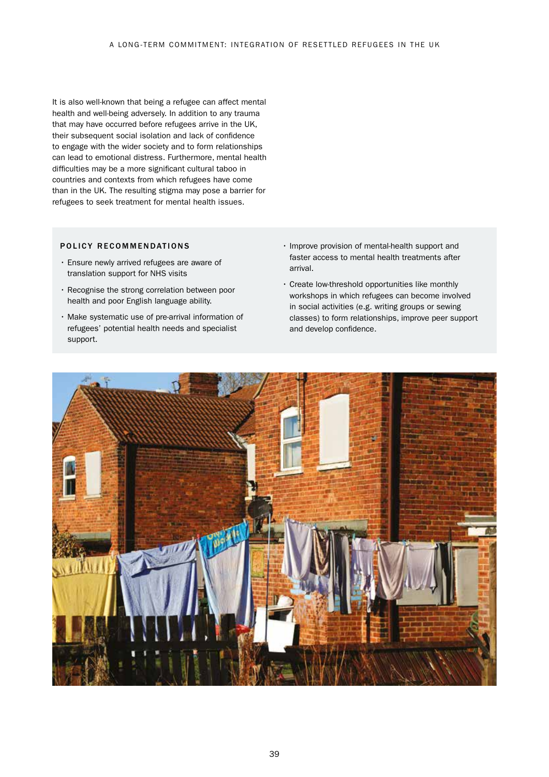It is also well-known that being a refugee can affect mental health and well-being adversely. In addition to any trauma that may have occurred before refugees arrive in the UK, their subsequent social isolation and lack of confidence to engage with the wider society and to form relationships can lead to emotional distress. Furthermore, mental health difficulties may be a more significant cultural taboo in countries and contexts from which refugees have come than in the UK. The resulting stigma may pose a barrier for refugees to seek treatment for mental health issues.

#### POLICY RECOMMENDATIONS

- Ensure newly arrived refugees are aware of translation support for NHS visits
- Recognise the strong correlation between poor health and poor English language ability.
- Make systematic use of pre-arrival information of refugees' potential health needs and specialist support.
- Improve provision of mental-health support and faster access to mental health treatments after arrival.
- Create low-threshold opportunities like monthly workshops in which refugees can become involved in social activities (e.g. writing groups or sewing classes) to form relationships, improve peer support and develop confidence.

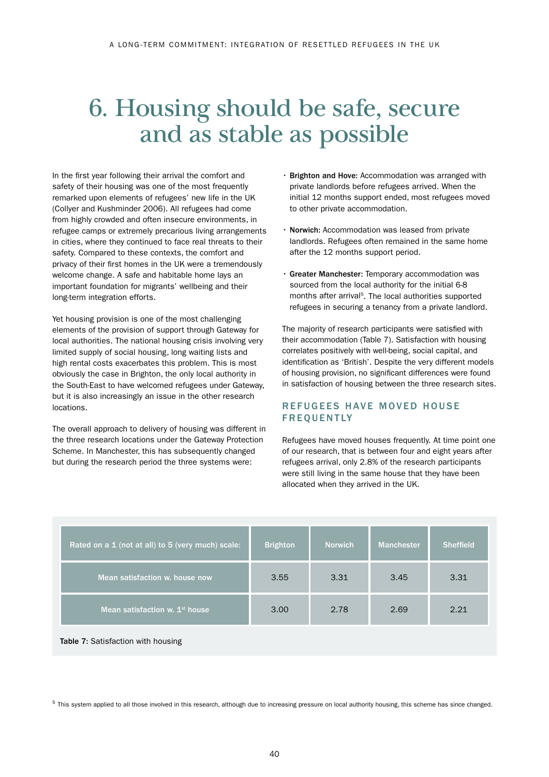## 6. Housing should be safe, secure and as stable as possible

In the first year following their arrival the comfort and safety of their housing was one of the most frequently remarked upon elements of refugees' new life in the UK (Collyer and Kushminder 2006). All refugees had come from highly crowded and often insecure environments, in refugee camps or extremely precarious living arrangements in cities, where they continued to face real threats to their safety. Compared to these contexts, the comfort and privacy of their first homes in the UK were a tremendously welcome change. A safe and habitable home lays an important foundation for migrants' wellbeing and their long-term integration efforts.

Yet housing provision is one of the most challenging elements of the provision of support through Gateway for local authorities. The national housing crisis involving very limited supply of social housing, long waiting lists and high rental costs exacerbates this problem. This is most obviously the case in Brighton, the only local authority in the South-East to have welcomed refugees under Gateway, but it is also increasingly an issue in the other research locations.

The overall approach to delivery of housing was different in the three research locations under the Gateway Protection Scheme. In Manchester, this has subsequently changed but during the research period the three systems were:

- Brighton and Hove: Accommodation was arranged with private landlords before refugees arrived. When the initial 12 months support ended, most refugees moved to other private accommodation.
- Norwich: Accommodation was leased from private landlords. Refugees often remained in the same home after the 12 months support period.
- Greater Manchester: Temporary accommodation was sourced from the local authority for the initial 6-8 months after arrival<sup>5</sup>. The local authorities supported refugees in securing a tenancy from a private landlord.

The majority of research participants were satisfied with their accommodation (Table 7). Satisfaction with housing correlates positively with well-being, social capital, and identification as 'British'. Despite the very different models of housing provision, no significant differences were found in satisfaction of housing between the three research sites.

## REFUGEES HAVE MOVED HOUSE FREQUENTLY

Refugees have moved houses frequently. At time point one of our research, that is between four and eight years after refugees arrival, only 2.8% of the research participants were still living in the same house that they have been allocated when they arrived in the UK.

| Rated on a 1 (not at all) to 5 (very much) scale: | <b>Brighton</b> | <b>Norwich</b> | <b>Manchester</b> | <b>Sheffield</b> |
|---------------------------------------------------|-----------------|----------------|-------------------|------------------|
| Mean satisfaction w. house now                    | 3.55            | 3.31           | 3.45              | 3.31             |
| Mean satisfaction w. 1 <sup>st</sup> house        | 3.00            | 2.78           | 2.69              | 2.21             |

Table 7: Satisfaction with housing

 $5$  This system applied to all those involved in this research, although due to increasing pressure on local authority housing, this scheme has since changed.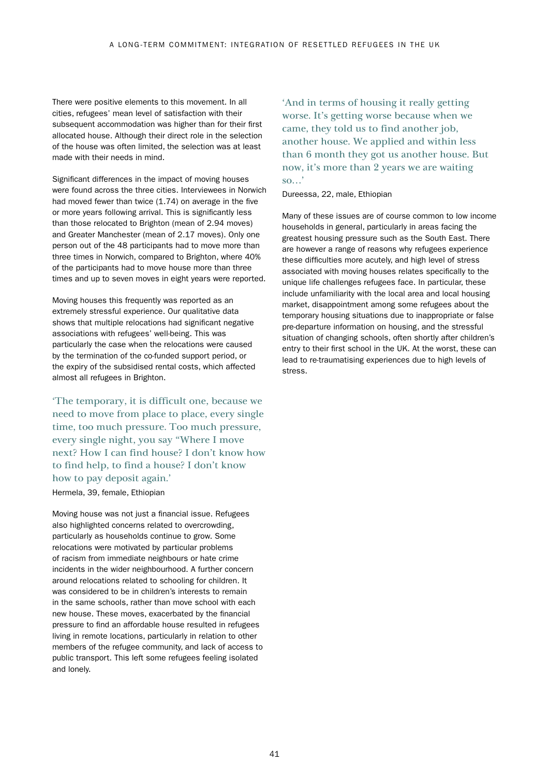There were positive elements to this movement. In all cities, refugees' mean level of satisfaction with their subsequent accommodation was higher than for their first allocated house. Although their direct role in the selection of the house was often limited, the selection was at least made with their needs in mind.

Significant differences in the impact of moving houses were found across the three cities. Interviewees in Norwich had moved fewer than twice (1.74) on average in the five or more years following arrival. This is significantly less than those relocated to Brighton (mean of 2.94 moves) and Greater Manchester (mean of 2.17 moves). Only one person out of the 48 participants had to move more than three times in Norwich, compared to Brighton, where 40% of the participants had to move house more than three times and up to seven moves in eight years were reported.

Moving houses this frequently was reported as an extremely stressful experience. Our qualitative data shows that multiple relocations had significant negative associations with refugees' well-being. This was particularly the case when the relocations were caused by the termination of the co-funded support period, or the expiry of the subsidised rental costs, which affected almost all refugees in Brighton.

'The temporary, it is difficult one, because we need to move from place to place, every single time, too much pressure. Too much pressure, every single night, you say "Where I move next? How I can find house? I don't know how to find help, to find a house? I don't know how to pay deposit again.' Hermela, 39, female, Ethiopian

Moving house was not just a financial issue. Refugees also highlighted concerns related to overcrowding, particularly as households continue to grow. Some relocations were motivated by particular problems of racism from immediate neighbours or hate crime incidents in the wider neighbourhood. A further concern around relocations related to schooling for children. It was considered to be in children's interests to remain in the same schools, rather than move school with each new house. These moves, exacerbated by the financial pressure to find an affordable house resulted in refugees living in remote locations, particularly in relation to other members of the refugee community, and lack of access to public transport. This left some refugees feeling isolated and lonely.

'And in terms of housing it really getting worse. It's getting worse because when we came, they told us to find another job, another house. We applied and within less than 6 month they got us another house. But now, it's more than 2 years we are waiting so…'

Dureessa, 22, male, Ethiopian

Many of these issues are of course common to low income households in general, particularly in areas facing the greatest housing pressure such as the South East. There are however a range of reasons why refugees experience these difficulties more acutely, and high level of stress associated with moving houses relates specifically to the unique life challenges refugees face. In particular, these include unfamiliarity with the local area and local housing market, disappointment among some refugees about the temporary housing situations due to inappropriate or false pre-departure information on housing, and the stressful situation of changing schools, often shortly after children's entry to their first school in the UK. At the worst, these can lead to re-traumatising experiences due to high levels of stress.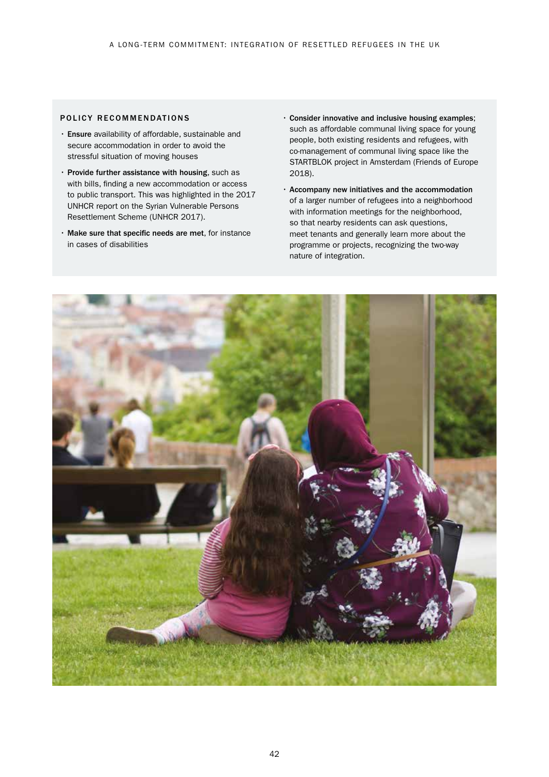#### POLICY RECOMMENDATIONS

- Ensure availability of affordable, sustainable and secure accommodation in order to avoid the stressful situation of moving houses
- Provide further assistance with housing, such as with bills, finding a new accommodation or access to public transport. This was highlighted in the 2017 UNHCR report on the Syrian Vulnerable Persons Resettlement Scheme (UNHCR 2017).
- Make sure that specific needs are met, for instance in cases of disabilities
- Consider innovative and inclusive housing examples; such as affordable communal living space for young people, both existing residents and refugees, with co-management of communal living space like the STARTBLOK project in Amsterdam (Friends of Europe 2018).
- Accompany new initiatives and the accommodation of a larger number of refugees into a neighborhood with information meetings for the neighborhood, so that nearby residents can ask questions, meet tenants and generally learn more about the programme or projects, recognizing the two-way nature of integration.

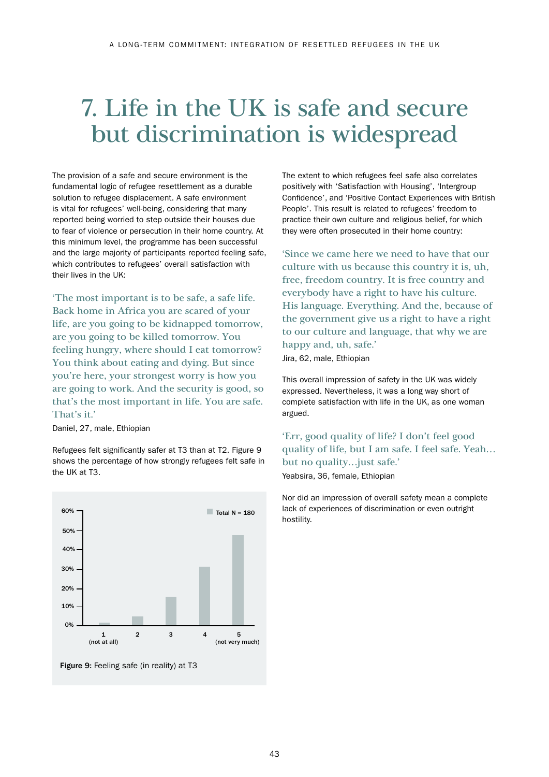## 7. Life in the UK is safe and secure but discrimination is widespread

The provision of a safe and secure environment is the fundamental logic of refugee resettlement as a durable solution to refugee displacement. A safe environment is vital for refugees' well-being, considering that many reported being worried to step outside their houses due to fear of violence or persecution in their home country. At this minimum level, the programme has been successful and the large majority of participants reported feeling safe, which contributes to refugees' overall satisfaction with their lives in the UK:

'The most important is to be safe, a safe life. Back home in Africa you are scared of your life, are you going to be kidnapped tomorrow, are you going to be killed tomorrow. You feeling hungry, where should I eat tomorrow? You think about eating and dying. But since you're here, your strongest worry is how you are going to work. And the security is good, so that's the most important in life. You are safe. That's it.'

Daniel, 27, male, Ethiopian

Refugees felt significantly safer at T3 than at T2. Figure 9 shows the percentage of how strongly refugees felt safe in the UK at T3.



Figure 9: Feeling safe (in reality) at T3

The extent to which refugees feel safe also correlates positively with 'Satisfaction with Housing', 'Intergroup Confidence', and 'Positive Contact Experiences with British People'. This result is related to refugees' freedom to practice their own culture and religious belief, for which they were often prosecuted in their home country:

'Since we came here we need to have that our culture with us because this country it is, uh, free, freedom country. It is free country and everybody have a right to have his culture. His language. Everything. And the, because of the government give us a right to have a right to our culture and language, that why we are happy and, uh, safe.'

Jira, 62, male, Ethiopian

This overall impression of safety in the UK was widely expressed. Nevertheless, it was a long way short of complete satisfaction with life in the UK, as one woman argued.

'Err, good quality of life? I don't feel good quality of life, but I am safe. I feel safe. Yeah… but no quality…just safe.'

Yeabsira, 36, female, Ethiopian

Nor did an impression of overall safety mean a complete lack of experiences of discrimination or even outright hostility.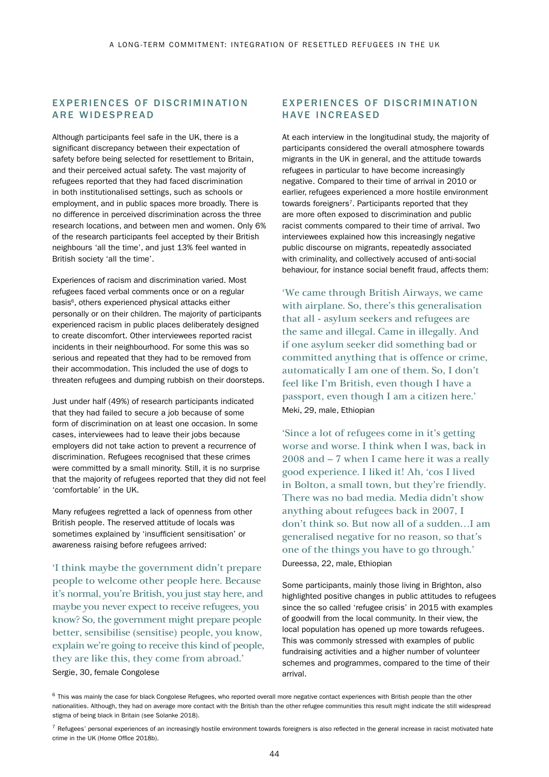### EXPERIENCES OF DISCRIMINATION ARE WIDESPREAD

Although participants feel safe in the UK, there is a significant discrepancy between their expectation of safety before being selected for resettlement to Britain, and their perceived actual safety. The vast majority of refugees reported that they had faced discrimination in both institutionalised settings, such as schools or employment, and in public spaces more broadly. There is no difference in perceived discrimination across the three research locations, and between men and women. Only 6% of the research participants feel accepted by their British neighbours 'all the time', and just 13% feel wanted in British society 'all the time'.

Experiences of racism and discrimination varied. Most refugees faced verbal comments once or on a regular basis<sup>6</sup>, others experienced physical attacks either personally or on their children. The majority of participants experienced racism in public places deliberately designed to create discomfort. Other interviewees reported racist incidents in their neighbourhood. For some this was so serious and repeated that they had to be removed from their accommodation. This included the use of dogs to threaten refugees and dumping rubbish on their doorsteps.

Just under half (49%) of research participants indicated that they had failed to secure a job because of some form of discrimination on at least one occasion. In some cases, interviewees had to leave their jobs because employers did not take action to prevent a recurrence of discrimination. Refugees recognised that these crimes were committed by a small minority. Still, it is no surprise that the majority of refugees reported that they did not feel 'comfortable' in the UK.

Many refugees regretted a lack of openness from other British people. The reserved attitude of locals was sometimes explained by 'insufficient sensitisation' or awareness raising before refugees arrived:

'I think maybe the government didn't prepare people to welcome other people here. Because it's normal, you're British, you just stay here, and maybe you never expect to receive refugees, you know? So, the government might prepare people better, sensibilise (sensitise) people, you know, explain we're going to receive this kind of people, they are like this, they come from abroad.'

#### Sergie, 30, female Congolese

### EXPERIENCES OF DISCRIMINATION HAVE INCREASED

At each interview in the longitudinal study, the majority of participants considered the overall atmosphere towards migrants in the UK in general, and the attitude towards refugees in particular to have become increasingly negative. Compared to their time of arrival in 2010 or earlier, refugees experienced a more hostile environment towards foreigners<sup>7</sup>. Participants reported that they are more often exposed to discrimination and public racist comments compared to their time of arrival. Two interviewees explained how this increasingly negative public discourse on migrants, repeatedly associated with criminality, and collectively accused of anti-social behaviour, for instance social benefit fraud, affects them:

'We came through British Airways, we came with airplane. So, there's this generalisation that all - asylum seekers and refugees are the same and illegal. Came in illegally. And if one asylum seeker did something bad or committed anything that is offence or crime, automatically I am one of them. So, I don't feel like I'm British, even though I have a passport, even though I am a citizen here.' Meki, 29, male, Ethiopian

'Since a lot of refugees come in it's getting worse and worse. I think when I was, back in 2008 and – 7 when I came here it was a really good experience. I liked it! Ah, 'cos I lived in Bolton, a small town, but they're friendly. There was no bad media. Media didn't show anything about refugees back in 2007, I don't think so. But now all of a sudden…I am generalised negative for no reason, so that's one of the things you have to go through.' Dureessa, 22, male, Ethiopian

Some participants, mainly those living in Brighton, also highlighted positive changes in public attitudes to refugees since the so called 'refugee crisis' in 2015 with examples of goodwill from the local community. In their view, the local population has opened up more towards refugees. This was commonly stressed with examples of public fundraising activities and a higher number of volunteer schemes and programmes, compared to the time of their arrival.

 $6$  This was mainly the case for black Congolese Refugees, who reported overall more negative contact experiences with British people than the other nationalities. Although, they had on average more contact with the British than the other refugee communities this result might indicate the still widespread stigma of being black in Britain (see Solanke 2018).

 $^7$  Refugees' personal experiences of an increasingly hostile environment towards foreigners is also reflected in the general increase in racist motivated hate crime in the UK (Home Office 2018b).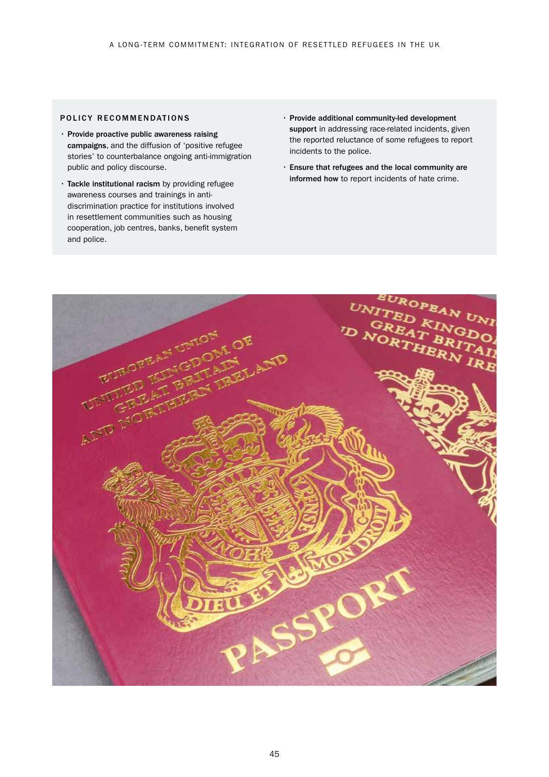### POLICY RECOMMENDATIONS

- Provide proactive public awareness raising campaigns, and the diffusion of 'positive refugee stories' to counterbalance ongoing anti-immigration public and policy discourse.
- Tackle institutional racism by providing refugee awareness courses and trainings in antidiscrimination practice for institutions involved in resettlement communities such as housing cooperation, job centres, banks, benefit system and police.
- Provide additional community-led development support in addressing race-related incidents, given the reported reluctance of some refugees to report incidents to the police.
- Ensure that refugees and the local community are informed how to report incidents of hate crime.

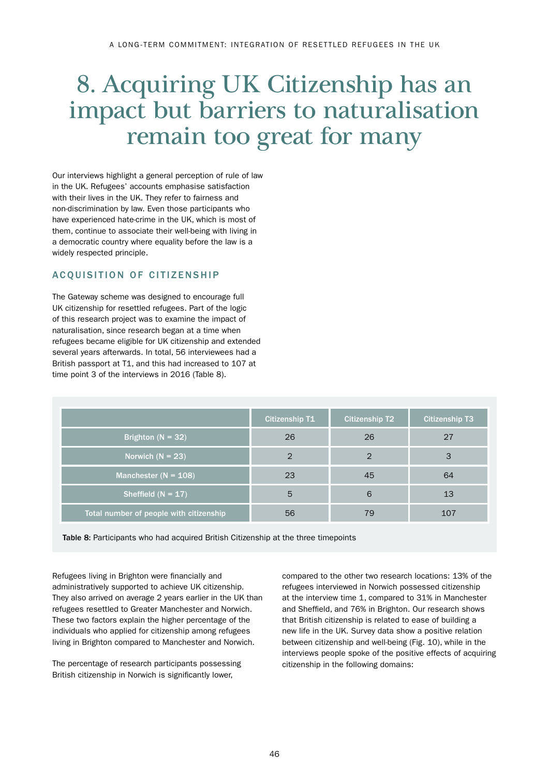## 8. Acquiring UK Citizenship has an impact but barriers to naturalisation remain too great for many

Our interviews highlight a general perception of rule of law in the UK. Refugees' accounts emphasise satisfaction with their lives in the UK. They refer to fairness and non-discrimination by law. Even those participants who have experienced hate-crime in the UK, which is most of them, continue to associate their well-being with living in a democratic country where equality before the law is a widely respected principle.

## ACQUISITION OF CITIZENSHIP

The Gateway scheme was designed to encourage full UK citizenship for resettled refugees. Part of the logic of this research project was to examine the impact of naturalisation, since research began at a time when refugees became eligible for UK citizenship and extended several years afterwards. In total, 56 interviewees had a British passport at T1, and this had increased to 107 at time point 3 of the interviews in 2016 (Table 8).

|                                         | <b>Citizenship T1</b> | <b>Citizenship T2</b> | <b>Citizenship T3</b> |
|-----------------------------------------|-----------------------|-----------------------|-----------------------|
| Brighton $(N = 32)$                     | 26                    | 26                    | 27                    |
| Norwich $(N = 23)$                      | 2                     |                       |                       |
| Manchester ( $N = 108$ )                | 23                    | 45                    | 64                    |
| Sheffield $(N = 17)$                    | 5                     | 6                     | 13                    |
| Total number of people with citizenship | 56                    | 79                    | 107                   |

Table 8: Participants who had acquired British Citizenship at the three timepoints

Refugees living in Brighton were financially and administratively supported to achieve UK citizenship. They also arrived on average 2 years earlier in the UK than refugees resettled to Greater Manchester and Norwich. These two factors explain the higher percentage of the individuals who applied for citizenship among refugees living in Brighton compared to Manchester and Norwich.

The percentage of research participants possessing British citizenship in Norwich is significantly lower,

compared to the other two research locations: 13% of the refugees interviewed in Norwich possessed citizenship at the interview time 1, compared to 31% in Manchester and Sheffield, and 76% in Brighton. Our research shows that British citizenship is related to ease of building a new life in the UK. Survey data show a positive relation between citizenship and well-being (Fig. 10), while in the interviews people spoke of the positive effects of acquiring citizenship in the following domains: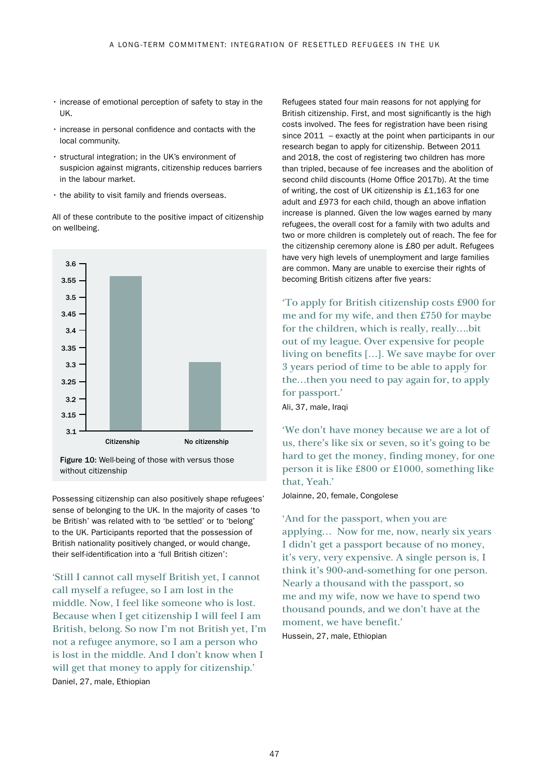- increase of emotional perception of safety to stay in the UK.
- increase in personal confidence and contacts with the local community.
- structural integration; in the UK's environment of suspicion against migrants, citizenship reduces barriers in the labour market.
- the ability to visit family and friends overseas.

All of these contribute to the positive impact of citizenship on wellbeing.



Figure 10: Well-being of those with versus those without citizenship

Possessing citizenship can also positively shape refugees' sense of belonging to the UK. In the majority of cases 'to be British' was related with to 'be settled' or to 'belong' to the UK. Participants reported that the possession of British nationality positively changed, or would change, their self-identification into a 'full British citizen':

'Still I cannot call myself British yet, I cannot call myself a refugee, so I am lost in the middle. Now, I feel like someone who is lost. Because when I get citizenship I will feel I am British, belong. So now I'm not British yet, I'm not a refugee anymore, so I am a person who is lost in the middle. And I don't know when I will get that money to apply for citizenship.' Daniel, 27, male, Ethiopian

Refugees stated four main reasons for not applying for British citizenship. First, and most significantly is the high costs involved. The fees for registration have been rising since 2011 – exactly at the point when participants in our research began to apply for citizenship. Between 2011 and 2018, the cost of registering two children has more than tripled, because of fee increases and the abolition of second child discounts (Home Office 2017b). At the time of writing, the cost of UK citizenship is £1,163 for one adult and £973 for each child, though an above inflation increase is planned. Given the low wages earned by many refugees, the overall cost for a family with two adults and two or more children is completely out of reach. The fee for the citizenship ceremony alone is £80 per adult. Refugees have very high levels of unemployment and large families are common. Many are unable to exercise their rights of becoming British citizens after five years:

'To apply for British citizenship costs £900 for me and for my wife, and then £750 for maybe for the children, which is really, really….bit out of my league. Over expensive for people living on benefits […]. We save maybe for over 3 years period of time to be able to apply for the…then you need to pay again for, to apply for passport.'

Ali, 37, male, Iraqi

'We don't have money because we are a lot of us, there's like six or seven, so it's going to be hard to get the money, finding money, for one person it is like £800 or £1000, something like that, Yeah.'

Jolainne, 20, female, Congolese

'And for the passport, when you are applying… Now for me, now, nearly six years I didn't get a passport because of no money, it's very, very expensive. A single person is, I think it's 900-and-something for one person. Nearly a thousand with the passport, so me and my wife, now we have to spend two thousand pounds, and we don't have at the moment, we have benefit.'

Hussein, 27, male, Ethiopian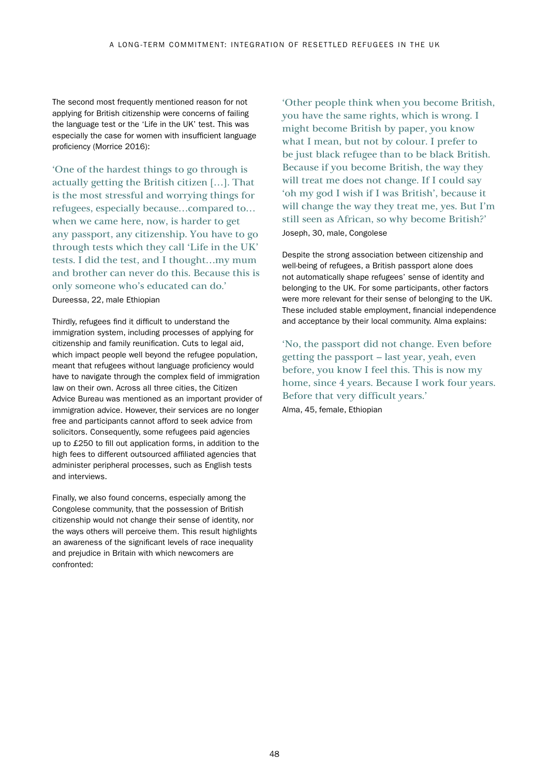The second most frequently mentioned reason for not applying for British citizenship were concerns of failing the language test or the 'Life in the UK' test. This was especially the case for women with insufficient language proficiency (Morrice 2016):

'One of the hardest things to go through is actually getting the British citizen […]. That is the most stressful and worrying things for refugees, especially because…compared to… when we came here, now, is harder to get any passport, any citizenship. You have to go through tests which they call 'Life in the UK' tests. I did the test, and I thought…my mum and brother can never do this. Because this is only someone who's educated can do.' Dureessa, 22, male Ethiopian

Thirdly, refugees find it difficult to understand the immigration system, including processes of applying for citizenship and family reunification. Cuts to legal aid, which impact people well beyond the refugee population, meant that refugees without language proficiency would have to navigate through the complex field of immigration law on their own. Across all three cities, the Citizen Advice Bureau was mentioned as an important provider of immigration advice. However, their services are no longer free and participants cannot afford to seek advice from solicitors. Consequently, some refugees paid agencies up to £250 to fill out application forms, in addition to the high fees to different outsourced affiliated agencies that administer peripheral processes, such as English tests and interviews.

Finally, we also found concerns, especially among the Congolese community, that the possession of British citizenship would not change their sense of identity, nor the ways others will perceive them. This result highlights an awareness of the significant levels of race inequality and prejudice in Britain with which newcomers are confronted:

'Other people think when you become British, you have the same rights, which is wrong. I might become British by paper, you know what I mean, but not by colour. I prefer to be just black refugee than to be black British. Because if you become British, the way they will treat me does not change. If I could say 'oh my god I wish if I was British', because it will change the way they treat me, yes. But I'm still seen as African, so why become British?' Joseph, 30, male, Congolese

Despite the strong association between citizenship and well-being of refugees, a British passport alone does not automatically shape refugees' sense of identity and belonging to the UK. For some participants, other factors were more relevant for their sense of belonging to the UK. These included stable employment, financial independence and acceptance by their local community. Alma explains:

'No, the passport did not change. Even before getting the passport – last year, yeah, even before, you know I feel this. This is now my home, since 4 years. Because I work four years. Before that very difficult years.'

Alma, 45, female, Ethiopian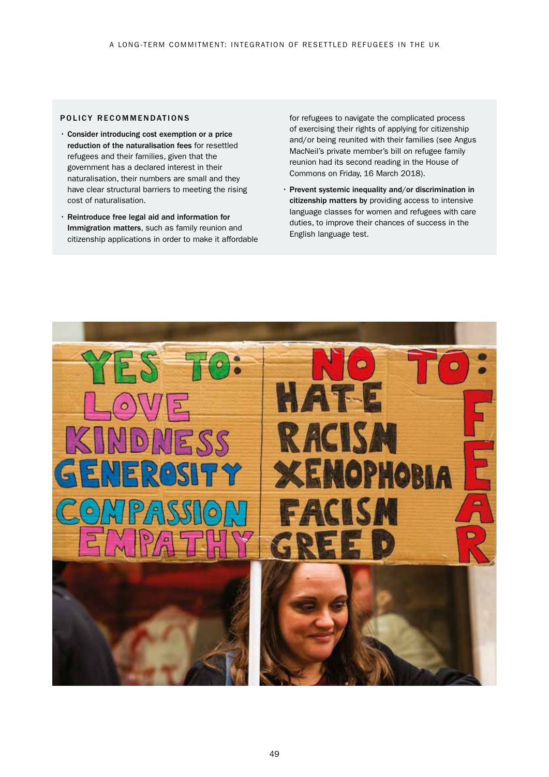#### POLICY RECOMMENDATIONS

- Consider introducing cost exemption or a price reduction of the naturalisation fees for resettled refugees and their families, given that the government has a declared interest in their naturalisation, their numbers are small and they have clear structural barriers to meeting the rising cost of naturalisation.
- Reintroduce free legal aid and information for Immigration matters, such as family reunion and citizenship applications in order to make it affordable

for refugees to navigate the complicated process of exercising their rights of applying for citizenship and/or being reunited with their families (see Angus MacNeil's private member's bill on refugee family reunion had its second reading in the House of Commons on Friday, 16 March 2018).

• Prevent systemic inequality and/or discrimination in citizenship matters by providing access to intensive language classes for women and refugees with care duties, to improve their chances of success in the English language test.

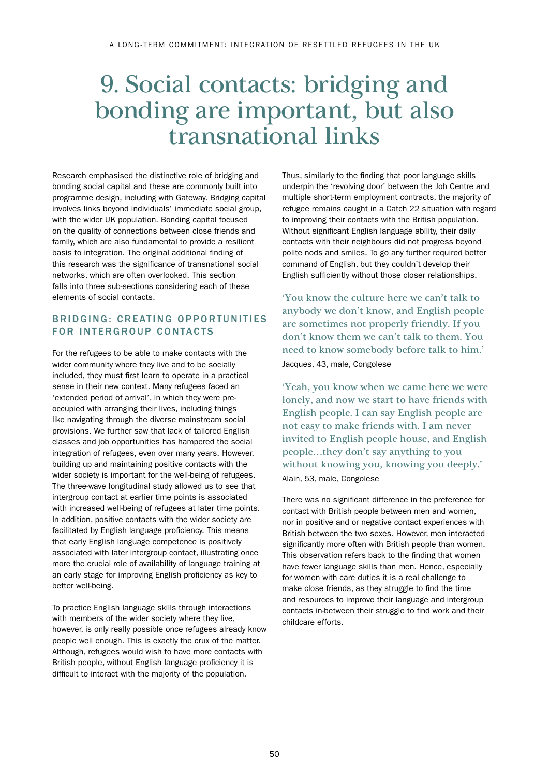## 9. Social contacts: bridging and bonding are important, but also transnational links

Research emphasised the distinctive role of bridging and bonding social capital and these are commonly built into programme design, including with Gateway. Bridging capital involves links beyond individuals' immediate social group, with the wider UK population. Bonding capital focused on the quality of connections between close friends and family, which are also fundamental to provide a resilient basis to integration. The original additional finding of this research was the significance of transnational social networks, which are often overlooked. This section falls into three sub-sections considering each of these elements of social contacts.

## BRIDGING: CREATING OPPORTUNITIES FOR INTERGROUP CONTACTS

For the refugees to be able to make contacts with the wider community where they live and to be socially included, they must first learn to operate in a practical sense in their new context. Many refugees faced an 'extended period of arrival', in which they were preoccupied with arranging their lives, including things like navigating through the diverse mainstream social provisions. We further saw that lack of tailored English classes and job opportunities has hampered the social integration of refugees, even over many years. However, building up and maintaining positive contacts with the wider society is important for the well-being of refugees. The three-wave longitudinal study allowed us to see that intergroup contact at earlier time points is associated with increased well-being of refugees at later time points. In addition, positive contacts with the wider society are facilitated by English language proficiency. This means that early English language competence is positively associated with later intergroup contact, illustrating once more the crucial role of availability of language training at an early stage for improving English proficiency as key to better well-being.

To practice English language skills through interactions with members of the wider society where they live, however, is only really possible once refugees already know people well enough. This is exactly the crux of the matter. Although, refugees would wish to have more contacts with British people, without English language proficiency it is difficult to interact with the majority of the population.

Thus, similarly to the finding that poor language skills underpin the 'revolving door' between the Job Centre and multiple short-term employment contracts, the majority of refugee remains caught in a Catch 22 situation with regard to improving their contacts with the British population. Without significant English language ability, their daily contacts with their neighbours did not progress beyond polite nods and smiles. To go any further required better command of English, but they couldn't develop their English sufficiently without those closer relationships.

'You know the culture here we can't talk to anybody we don't know, and English people are sometimes not properly friendly. If you don't know them we can't talk to them. You need to know somebody before talk to him.' Jacques, 43, male, Congolese

'Yeah, you know when we came here we were lonely, and now we start to have friends with English people. I can say English people are not easy to make friends with. I am never invited to English people house, and English people…they don't say anything to you without knowing you, knowing you deeply.' Alain, 53, male, Congolese

There was no significant difference in the preference for contact with British people between men and women, nor in positive and or negative contact experiences with British between the two sexes. However, men interacted significantly more often with British people than women. This observation refers back to the finding that women have fewer language skills than men. Hence, especially for women with care duties it is a real challenge to make close friends, as they struggle to find the time and resources to improve their language and intergroup contacts in-between their struggle to find work and their childcare efforts.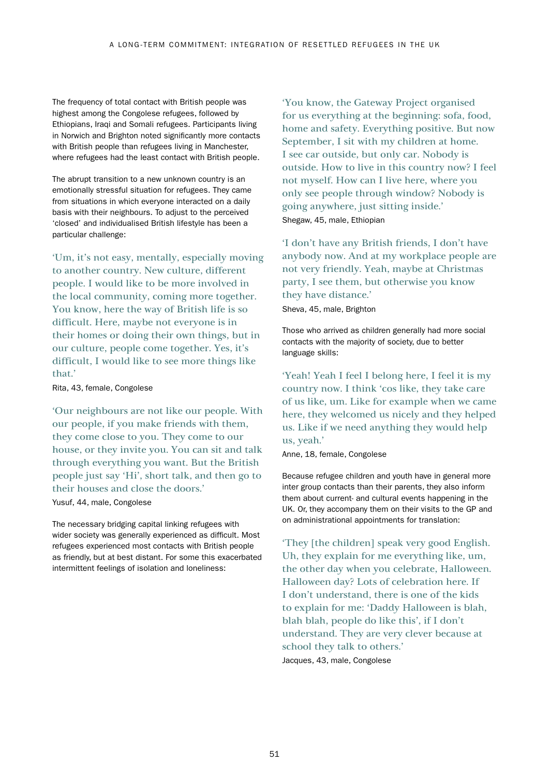The frequency of total contact with British people was highest among the Congolese refugees, followed by Ethiopians, Iraqi and Somali refugees. Participants living in Norwich and Brighton noted significantly more contacts with British people than refugees living in Manchester, where refugees had the least contact with British people.

The abrupt transition to a new unknown country is an emotionally stressful situation for refugees. They came from situations in which everyone interacted on a daily basis with their neighbours. To adjust to the perceived 'closed' and individualised British lifestyle has been a particular challenge:

'Um, it's not easy, mentally, especially moving to another country. New culture, different people. I would like to be more involved in the local community, coming more together. You know, here the way of British life is so difficult. Here, maybe not everyone is in their homes or doing their own things, but in our culture, people come together. Yes, it's difficult, I would like to see more things like that.'

Rita, 43, female, Congolese

'Our neighbours are not like our people. With our people, if you make friends with them, they come close to you. They come to our house, or they invite you. You can sit and talk through everything you want. But the British people just say 'Hi', short talk, and then go to their houses and close the doors.'

Yusuf, 44, male, Congolese

The necessary bridging capital linking refugees with wider society was generally experienced as difficult. Most refugees experienced most contacts with British people as friendly, but at best distant. For some this exacerbated intermittent feelings of isolation and loneliness:

'You know, the Gateway Project organised for us everything at the beginning: sofa, food, home and safety. Everything positive. But now September, I sit with my children at home. I see car outside, but only car. Nobody is outside. How to live in this country now? I feel not myself. How can I live here, where you only see people through window? Nobody is going anywhere, just sitting inside.' Shegaw, 45, male, Ethiopian

'I don't have any British friends, I don't have anybody now. And at my workplace people are not very friendly. Yeah, maybe at Christmas party, I see them, but otherwise you know they have distance.' Sheva, 45, male, Brighton

Those who arrived as children generally had more social contacts with the majority of society, due to better language skills:

'Yeah! Yeah I feel I belong here, I feel it is my country now. I think 'cos like, they take care of us like, um. Like for example when we came here, they welcomed us nicely and they helped us. Like if we need anything they would help us, yeah.'

Anne, 18, female, Congolese

Because refugee children and youth have in general more inter group contacts than their parents, they also inform them about current- and cultural events happening in the UK. Or, they accompany them on their visits to the GP and on administrational appointments for translation:

'They [the children] speak very good English. Uh, they explain for me everything like, um, the other day when you celebrate, Halloween. Halloween day? Lots of celebration here. If I don't understand, there is one of the kids to explain for me: 'Daddy Halloween is blah, blah blah, people do like this', if I don't understand. They are very clever because at school they talk to others.' Jacques, 43, male, Congolese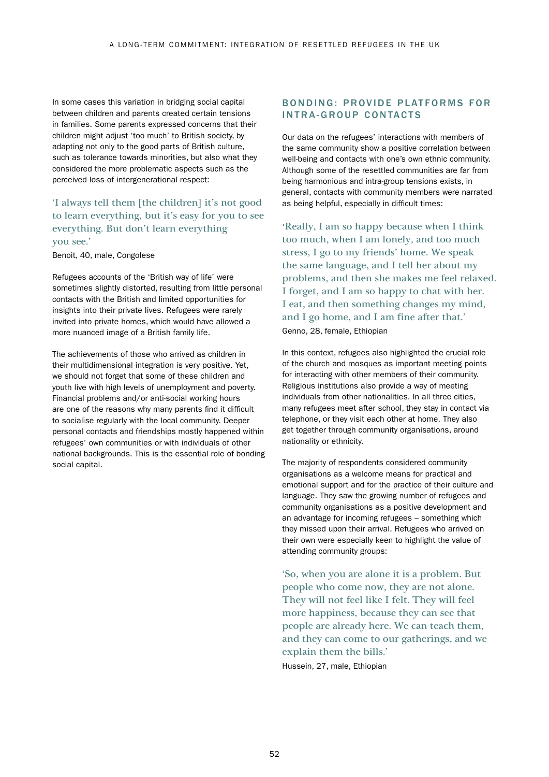In some cases this variation in bridging social capital between children and parents created certain tensions in families. Some parents expressed concerns that their children might adjust 'too much' to British society, by adapting not only to the good parts of British culture, such as tolerance towards minorities, but also what they considered the more problematic aspects such as the perceived loss of intergenerational respect:

## 'I always tell them [the children] it's not good to learn everything, but it's easy for you to see everything. But don't learn everything you see.'

#### Benoit, 40, male, Congolese

Refugees accounts of the 'British way of life' were sometimes slightly distorted, resulting from little personal contacts with the British and limited opportunities for insights into their private lives. Refugees were rarely invited into private homes, which would have allowed a more nuanced image of a British family life.

The achievements of those who arrived as children in their multidimensional integration is very positive. Yet, we should not forget that some of these children and youth live with high levels of unemployment and poverty. Financial problems and/or anti-social working hours are one of the reasons why many parents find it difficult to socialise regularly with the local community. Deeper personal contacts and friendships mostly happened within refugees' own communities or with individuals of other national backgrounds. This is the essential role of bonding social capital.

### BONDING: PROVIDE PLATFORMS FOR INTRA-GROUP CONTACTS

Our data on the refugees' interactions with members of the same community show a positive correlation between well-being and contacts with one's own ethnic community. Although some of the resettled communities are far from being harmonious and intra-group tensions exists, in general, contacts with community members were narrated as being helpful, especially in difficult times:

'Really, I am so happy because when I think too much, when I am lonely, and too much stress, I go to my friends' home. We speak the same language, and I tell her about my problems, and then she makes me feel relaxed. I forget, and I am so happy to chat with her. I eat, and then something changes my mind, and I go home, and I am fine after that.' Genno, 28, female, Ethiopian

In this context, refugees also highlighted the crucial role of the church and mosques as important meeting points for interacting with other members of their community. Religious institutions also provide a way of meeting individuals from other nationalities. In all three cities, many refugees meet after school, they stay in contact via telephone, or they visit each other at home. They also get together through community organisations, around nationality or ethnicity.

The majority of respondents considered community organisations as a welcome means for practical and emotional support and for the practice of their culture and language. They saw the growing number of refugees and community organisations as a positive development and an advantage for incoming refugees – something which they missed upon their arrival. Refugees who arrived on their own were especially keen to highlight the value of attending community groups:

'So, when you are alone it is a problem. But people who come now, they are not alone. They will not feel like I felt. They will feel more happiness, because they can see that people are already here. We can teach them, and they can come to our gatherings, and we explain them the bills.' Hussein, 27, male, Ethiopian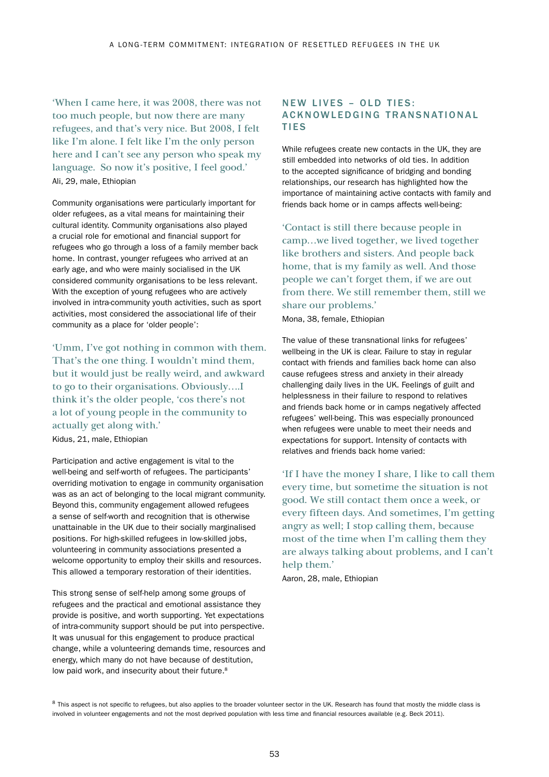'When I came here, it was 2008, there was not too much people, but now there are many refugees, and that's very nice. But 2008, I felt like I'm alone. I felt like I'm the only person here and I can't see any person who speak my language. So now it's positive, I feel good.' Ali, 29, male, Ethiopian

Community organisations were particularly important for older refugees, as a vital means for maintaining their cultural identity. Community organisations also played a crucial role for emotional and financial support for refugees who go through a loss of a family member back home. In contrast, younger refugees who arrived at an early age, and who were mainly socialised in the UK considered community organisations to be less relevant. With the exception of young refugees who are actively involved in intra-community youth activities, such as sport activities, most considered the associational life of their community as a place for 'older people':

'Umm, I've got nothing in common with them. That's the one thing. I wouldn't mind them, but it would just be really weird, and awkward to go to their organisations. Obviously….I think it's the older people, 'cos there's not a lot of young people in the community to actually get along with.'

Kidus, 21, male, Ethiopian

Participation and active engagement is vital to the well-being and self-worth of refugees. The participants' overriding motivation to engage in community organisation was as an act of belonging to the local migrant community. Beyond this, community engagement allowed refugees a sense of self-worth and recognition that is otherwise unattainable in the UK due to their socially marginalised positions. For high-skilled refugees in low-skilled jobs, volunteering in community associations presented a welcome opportunity to employ their skills and resources. This allowed a temporary restoration of their identities.

This strong sense of self-help among some groups of refugees and the practical and emotional assistance they provide is positive, and worth supporting. Yet expectations of intra-community support should be put into perspective. It was unusual for this engagement to produce practical change, while a volunteering demands time, resources and energy, which many do not have because of destitution, low paid work, and insecurity about their future.<sup>8</sup>

### NEW LIVES - OLD TIES: ACKNOWLEDGING TRANSNATIONAL **TIES**

While refugees create new contacts in the UK, they are still embedded into networks of old ties. In addition to the accepted significance of bridging and bonding relationships, our research has highlighted how the importance of maintaining active contacts with family and friends back home or in camps affects well-being:

'Contact is still there because people in camp…we lived together, we lived together like brothers and sisters. And people back home, that is my family as well. And those people we can't forget them, if we are out from there. We still remember them, still we share our problems.'

Mona, 38, female, Ethiopian

The value of these transnational links for refugees' wellbeing in the UK is clear. Failure to stay in regular contact with friends and families back home can also cause refugees stress and anxiety in their already challenging daily lives in the UK. Feelings of guilt and helplessness in their failure to respond to relatives and friends back home or in camps negatively affected refugees' well-being. This was especially pronounced when refugees were unable to meet their needs and expectations for support. Intensity of contacts with relatives and friends back home varied:

'If I have the money I share, I like to call them every time, but sometime the situation is not good. We still contact them once a week, or every fifteen days. And sometimes, I'm getting angry as well; I stop calling them, because most of the time when I'm calling them they are always talking about problems, and I can't help them.'

Aaron, 28, male, Ethiopian

<sup>&</sup>lt;sup>8</sup> This aspect is not specific to refugees, but also applies to the broader volunteer sector in the UK. Research has found that mostly the middle class is involved in volunteer engagements and not the most deprived population with less time and financial resources available (e.g. Beck 2011).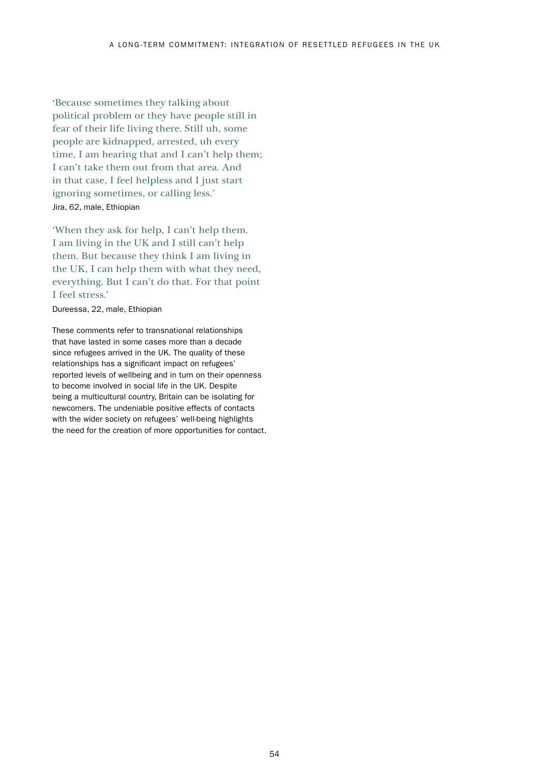'Because sometimes they talking about political problem or they have people still in fear of their life living there. Still uh, some people are kidnapped, arrested, uh every time, I am hearing that and I can't help them; I can't take them out from that area. And in that case, I feel helpless and I just start ignoring sometimes, or calling less.' Jira, 62, male, Ethiopian

'When they ask for help, I can't help them. I am living in the UK and I still can't help them. But because they think I am living in the UK, I can help them with what they need, everything. But I can't do that. For that point I feel stress.'

Dureessa, 22, male, Ethiopian

These comments refer to transnational relationships that have lasted in some cases more than a decade since refugees arrived in the UK. The quality of these relationships has a significant impact on refugees' reported levels of wellbeing and in turn on their openness to become involved in social life in the UK. Despite being a multicultural country, Britain can be isolating for newcomers. The undeniable positive effects of contacts with the wider society on refugees' well-being highlights the need for the creation of more opportunities for contact.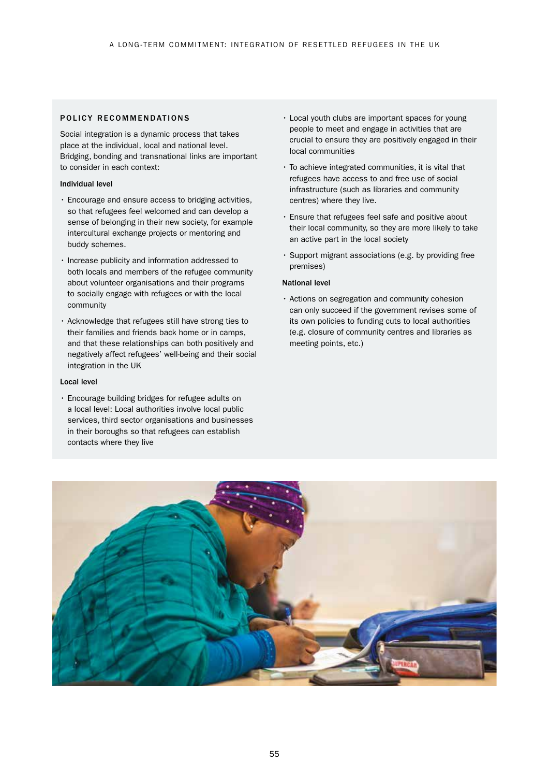#### POLICY RECOMMENDATIONS

Social integration is a dynamic process that takes place at the individual, local and national level. Bridging, bonding and transnational links are important to consider in each context:

#### Individual level

- Encourage and ensure access to bridging activities, so that refugees feel welcomed and can develop a sense of belonging in their new society, for example intercultural exchange projects or mentoring and buddy schemes.
- Increase publicity and information addressed to both locals and members of the refugee community about volunteer organisations and their programs to socially engage with refugees or with the local community
- Acknowledge that refugees still have strong ties to their families and friends back home or in camps, and that these relationships can both positively and negatively affect refugees' well-being and their social integration in the UK

#### Local level

• Encourage building bridges for refugee adults on a local level: Local authorities involve local public services, third sector organisations and businesses in their boroughs so that refugees can establish contacts where they live

- Local youth clubs are important spaces for young people to meet and engage in activities that are crucial to ensure they are positively engaged in their local communities
- To achieve integrated communities, it is vital that refugees have access to and free use of social infrastructure (such as libraries and community centres) where they live.
- Ensure that refugees feel safe and positive about their local community, so they are more likely to take an active part in the local society
- Support migrant associations (e.g. by providing free premises)

#### National level

• Actions on segregation and community cohesion can only succeed if the government revises some of its own policies to funding cuts to local authorities (e.g. closure of community centres and libraries as meeting points, etc.)

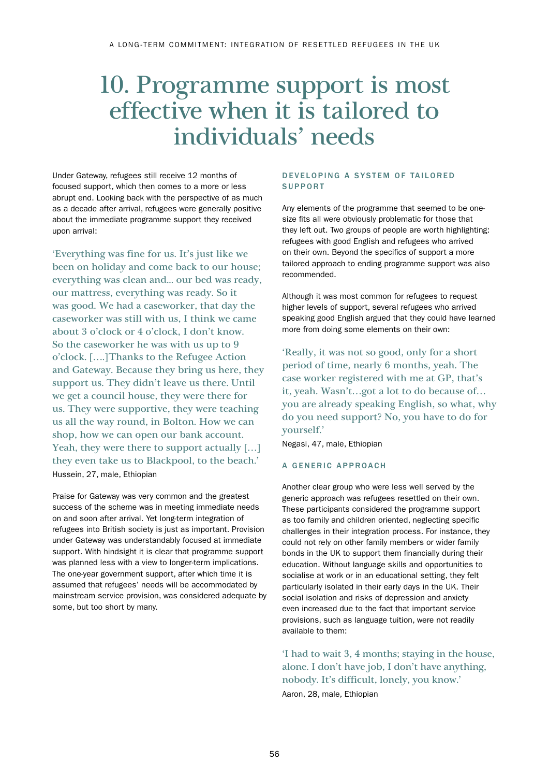## 10. Programme support is most effective when it is tailored to individuals' needs

Under Gateway, refugees still receive 12 months of focused support, which then comes to a more or less abrupt end. Looking back with the perspective of as much as a decade after arrival, refugees were generally positive about the immediate programme support they received upon arrival:

'Everything was fine for us. It's just like we been on holiday and come back to our house; everything was clean and... our bed was ready, our mattress, everything was ready. So it was good. We had a caseworker, that day the caseworker was still with us, I think we came about 3 o'clock or 4 o'clock, I don't know. So the caseworker he was with us up to 9 o'clock. [….]Thanks to the Refugee Action and Gateway. Because they bring us here, they support us. They didn't leave us there. Until we get a council house, they were there for us. They were supportive, they were teaching us all the way round, in Bolton. How we can shop, how we can open our bank account. Yeah, they were there to support actually [...] they even take us to Blackpool, to the beach.' Hussein, 27, male, Ethiopian

Praise for Gateway was very common and the greatest success of the scheme was in meeting immediate needs on and soon after arrival. Yet long-term integration of refugees into British society is just as important. Provision under Gateway was understandably focused at immediate support. With hindsight it is clear that programme support was planned less with a view to longer-term implications. The one-year government support, after which time it is assumed that refugees' needs will be accommodated by mainstream service provision, was considered adequate by some, but too short by many.

#### DEVELOPING A SYSTEM OF TAILORED SUPPORT

Any elements of the programme that seemed to be onesize fits all were obviously problematic for those that they left out. Two groups of people are worth highlighting: refugees with good English and refugees who arrived on their own. Beyond the specifics of support a more tailored approach to ending programme support was also recommended.

Although it was most common for refugees to request higher levels of support, several refugees who arrived speaking good English argued that they could have learned more from doing some elements on their own:

'Really, it was not so good, only for a short period of time, nearly 6 months, yeah. The case worker registered with me at GP, that's it, yeah. Wasn't…got a lot to do because of… you are already speaking English, so what, why do you need support? No, you have to do for yourself.'

Negasi, 47, male, Ethiopian

#### A GENERIC APPROACH

Another clear group who were less well served by the generic approach was refugees resettled on their own. These participants considered the programme support as too family and children oriented, neglecting specific challenges in their integration process. For instance, they could not rely on other family members or wider family bonds in the UK to support them financially during their education. Without language skills and opportunities to socialise at work or in an educational setting, they felt particularly isolated in their early days in the UK. Their social isolation and risks of depression and anxiety even increased due to the fact that important service provisions, such as language tuition, were not readily available to them:

'I had to wait 3, 4 months; staying in the house, alone. I don't have job, I don't have anything, nobody. It's difficult, lonely, you know.' Aaron, 28, male, Ethiopian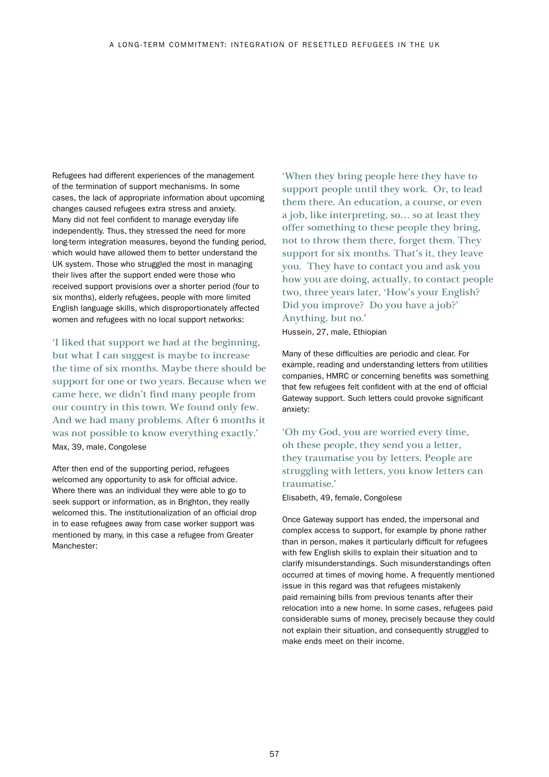Refugees had different experiences of the management of the termination of support mechanisms. In some cases, the lack of appropriate information about upcoming changes caused refugees extra stress and anxiety. Many did not feel confident to manage everyday life independently. Thus, they stressed the need for more long-term integration measures, beyond the funding period, which would have allowed them to better understand the UK system. Those who struggled the most in managing their lives after the support ended were those who received support provisions over a shorter period (four to six months), elderly refugees, people with more limited English language skills, which disproportionately affected women and refugees with no local support networks:

'I liked that support we had at the beginning, but what I can suggest is maybe to increase the time of six months. Maybe there should be support for one or two years. Because when we came here, we didn't find many people from our country in this town. We found only few. And we had many problems. After 6 months it was not possible to know everything exactly.' Max, 39, male, Congolese

After then end of the supporting period, refugees welcomed any opportunity to ask for official advice. Where there was an individual they were able to go to seek support or information, as in Brighton, they really welcomed this. The institutionalization of an official drop in to ease refugees away from case worker support was mentioned by many, in this case a refugee from Greater Manchester:

'When they bring people here they have to support people until they work. Or, to lead them there. An education, a course, or even a job, like interpreting, so… so at least they offer something to these people they bring, not to throw them there, forget them. They support for six months. That's it, they leave you. They have to contact you and ask you how you are doing, actually, to contact people two, three years later, 'How's your English? Did you improve? Do you have a job?' Anything, but no.'

Hussein, 27, male, Ethiopian

Many of these difficulties are periodic and clear. For example, reading and understanding letters from utilities companies, HMRC or concerning benefits was something that few refugees felt confident with at the end of official Gateway support. Such letters could provoke significant anxiety:

'Oh my God, you are worried every time, oh these people, they send you a letter, they traumatise you by letters. People are struggling with letters, you know letters can traumatise.'

Elisabeth, 49, female, Congolese

Once Gateway support has ended, the impersonal and complex access to support, for example by phone rather than in person, makes it particularly difficult for refugees with few English skills to explain their situation and to clarify misunderstandings. Such misunderstandings often occurred at times of moving home. A frequently mentioned issue in this regard was that refugees mistakenly paid remaining bills from previous tenants after their relocation into a new home. In some cases, refugees paid considerable sums of money, precisely because they could not explain their situation, and consequently struggled to make ends meet on their income.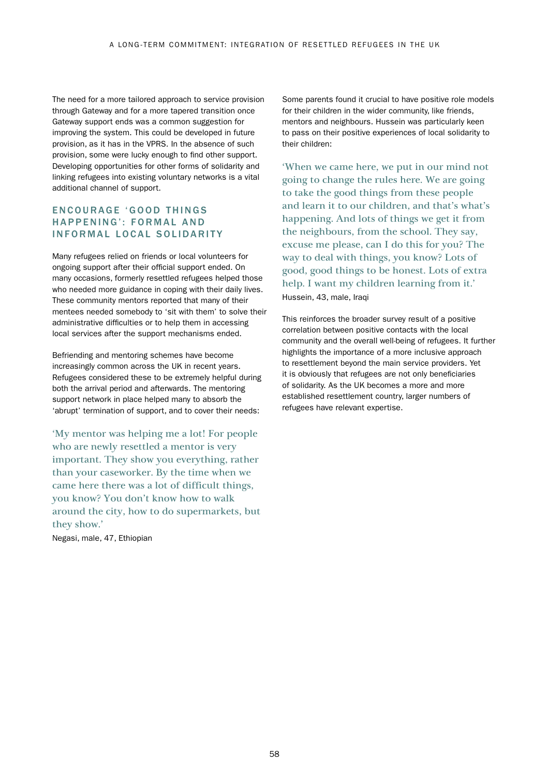The need for a more tailored approach to service provision through Gateway and for a more tapered transition once Gateway support ends was a common suggestion for improving the system. This could be developed in future provision, as it has in the VPRS. In the absence of such provision, some were lucky enough to find other support. Developing opportunities for other forms of solidarity and linking refugees into existing voluntary networks is a vital additional channel of support.

## EN COURAGE 'GOOD THINGS HAPPENING': FORMAL AND INFORMAL LOCAL SOLIDARITY

Many refugees relied on friends or local volunteers for ongoing support after their official support ended. On many occasions, formerly resettled refugees helped those who needed more guidance in coping with their daily lives. These community mentors reported that many of their mentees needed somebody to 'sit with them' to solve their administrative difficulties or to help them in accessing local services after the support mechanisms ended.

Befriending and mentoring schemes have become increasingly common across the UK in recent years. Refugees considered these to be extremely helpful during both the arrival period and afterwards. The mentoring support network in place helped many to absorb the 'abrupt' termination of support, and to cover their needs:

'My mentor was helping me a lot! For people who are newly resettled a mentor is very important. They show you everything, rather than your caseworker. By the time when we came here there was a lot of difficult things, you know? You don't know how to walk around the city, how to do supermarkets, but they show.'

Negasi, male, 47, Ethiopian

Some parents found it crucial to have positive role models for their children in the wider community, like friends, mentors and neighbours. Hussein was particularly keen to pass on their positive experiences of local solidarity to their children:

'When we came here, we put in our mind not going to change the rules here. We are going to take the good things from these people and learn it to our children, and that's what's happening. And lots of things we get it from the neighbours, from the school. They say, excuse me please, can I do this for you? The way to deal with things, you know? Lots of good, good things to be honest. Lots of extra help. I want my children learning from it.' Hussein, 43, male, Iraqi

This reinforces the broader survey result of a positive correlation between positive contacts with the local community and the overall well-being of refugees. It further highlights the importance of a more inclusive approach to resettlement beyond the main service providers. Yet it is obviously that refugees are not only beneficiaries of solidarity. As the UK becomes a more and more established resettlement country, larger numbers of refugees have relevant expertise.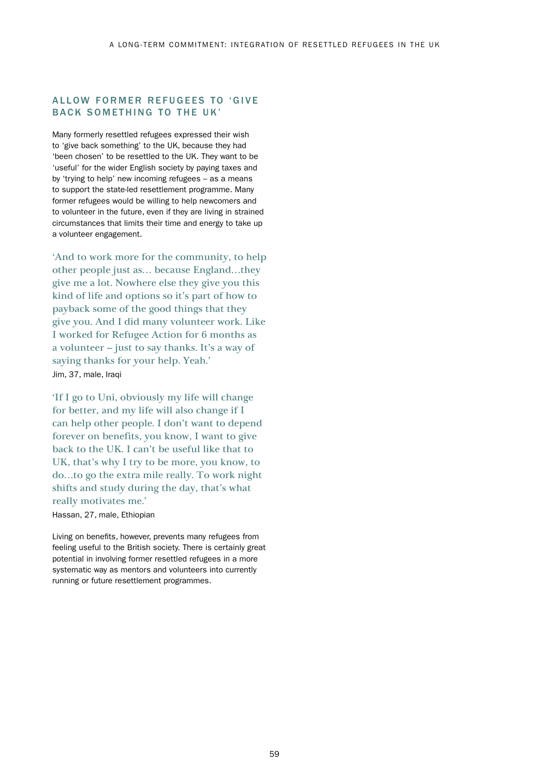### ALLOW FORMER REFUGEES TO 'GIVE BACK SOMETHING TO THE UK'

Many formerly resettled refugees expressed their wish to 'give back something' to the UK, because they had 'been chosen' to be resettled to the UK. They want to be 'useful' for the wider English society by paying taxes and by 'trying to help' new incoming refugees – as a means to support the state-led resettlement programme. Many former refugees would be willing to help newcomers and to volunteer in the future, even if they are living in strained circumstances that limits their time and energy to take up a volunteer engagement.

'And to work more for the community, to help other people just as… because England…they give me a lot. Nowhere else they give you this kind of life and options so it's part of how to payback some of the good things that they give you. And I did many volunteer work. Like I worked for Refugee Action for 6 months as a volunteer – just to say thanks. It's a way of saying thanks for your help. Yeah.' Jim, 37, male, Iraqi

'If I go to Uni, obviously my life will change for better, and my life will also change if I can help other people. I don't want to depend forever on benefits, you know, I want to give back to the UK. I can't be useful like that to UK, that's why I try to be more, you know, to do…to go the extra mile really. To work night shifts and study during the day, that's what really motivates me.'

Hassan, 27, male, Ethiopian

Living on benefits, however, prevents many refugees from feeling useful to the British society. There is certainly great potential in involving former resettled refugees in a more systematic way as mentors and volunteers into currently running or future resettlement programmes.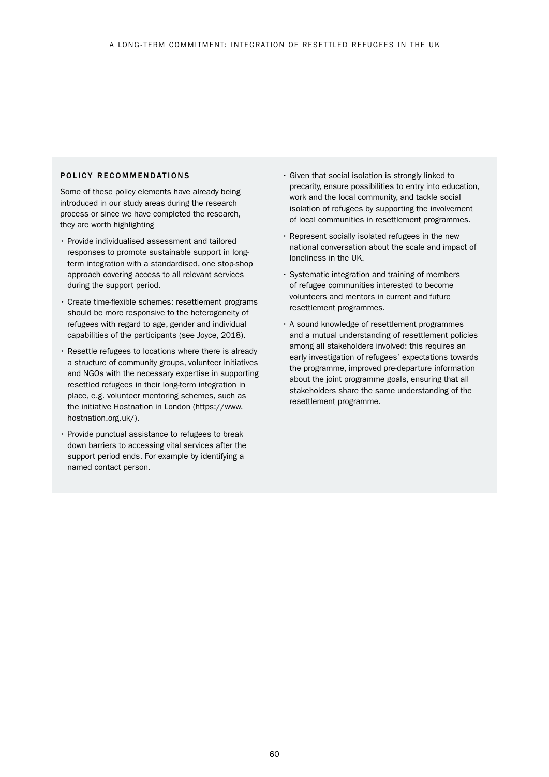#### POLICY RECOMMENDATIONS

Some of these policy elements have already being introduced in our study areas during the research process or since we have completed the research, they are worth highlighting

- Provide individualised assessment and tailored responses to promote sustainable support in longterm integration with a standardised, one stop-shop approach covering access to all relevant services during the support period.
- Create time-flexible schemes: resettlement programs should be more responsive to the heterogeneity of refugees with regard to age, gender and individual capabilities of the participants (see Joyce, 2018).
- Resettle refugees to locations where there is already a structure of community groups, volunteer initiatives and NGOs with the necessary expertise in supporting resettled refugees in their long-term integration in place, e.g. volunteer mentoring schemes, such as the initiative Hostnation in London ([https://www.](https://www.hostnation.org.uk/) [hostnation.org.uk/\)](https://www.hostnation.org.uk/).
- Provide punctual assistance to refugees to break down barriers to accessing vital services after the support period ends. For example by identifying a named contact person.
- Given that social isolation is strongly linked to precarity, ensure possibilities to entry into education, work and the local community, and tackle social isolation of refugees by supporting the involvement of local communities in resettlement programmes.
- Represent socially isolated refugees in the new national conversation about the scale and impact of loneliness in the UK.
- Systematic integration and training of members of refugee communities interested to become volunteers and mentors in current and future resettlement programmes.
- A sound knowledge of resettlement programmes and a mutual understanding of resettlement policies among all stakeholders involved: this requires an early investigation of refugees' expectations towards the programme, improved pre-departure information about the joint programme goals, ensuring that all stakeholders share the same understanding of the resettlement programme.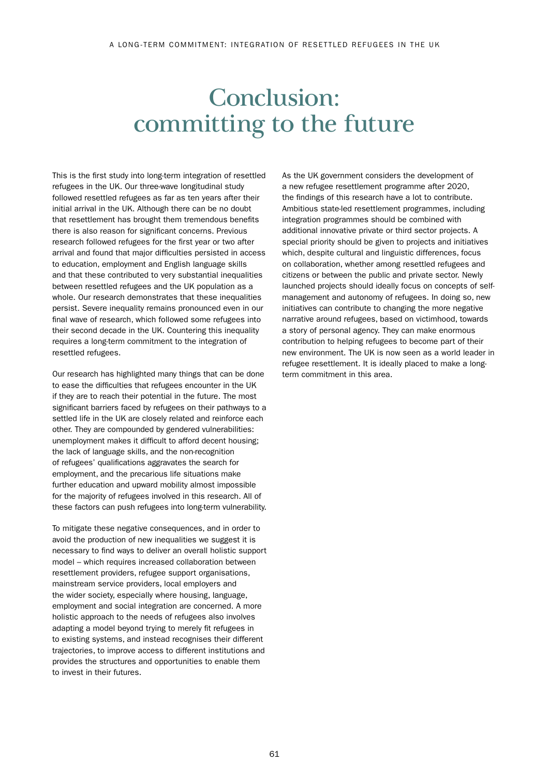## Conclusion: committing to the future

This is the first study into long-term integration of resettled refugees in the UK. Our three-wave longitudinal study followed resettled refugees as far as ten years after their initial arrival in the UK. Although there can be no doubt that resettlement has brought them tremendous benefits there is also reason for significant concerns. Previous research followed refugees for the first year or two after arrival and found that major difficulties persisted in access to education, employment and English language skills and that these contributed to very substantial inequalities between resettled refugees and the UK population as a whole. Our research demonstrates that these inequalities persist. Severe inequality remains pronounced even in our final wave of research, which followed some refugees into their second decade in the UK. Countering this inequality requires a long-term commitment to the integration of resettled refugees.

Our research has highlighted many things that can be done to ease the difficulties that refugees encounter in the UK if they are to reach their potential in the future. The most significant barriers faced by refugees on their pathways to a settled life in the UK are closely related and reinforce each other. They are compounded by gendered vulnerabilities: unemployment makes it difficult to afford decent housing; the lack of language skills, and the non-recognition of refugees' qualifications aggravates the search for employment, and the precarious life situations make further education and upward mobility almost impossible for the majority of refugees involved in this research. All of these factors can push refugees into long-term vulnerability.

To mitigate these negative consequences, and in order to avoid the production of new inequalities we suggest it is necessary to find ways to deliver an overall holistic support model – which requires increased collaboration between resettlement providers, refugee support organisations, mainstream service providers, local employers and the wider society, especially where housing, language, employment and social integration are concerned. A more holistic approach to the needs of refugees also involves adapting a model beyond trying to merely fit refugees in to existing systems, and instead recognises their different trajectories, to improve access to different institutions and provides the structures and opportunities to enable them to invest in their futures.

As the UK government considers the development of a new refugee resettlement programme after 2020, the findings of this research have a lot to contribute. Ambitious state-led resettlement programmes, including integration programmes should be combined with additional innovative private or third sector projects. A special priority should be given to projects and initiatives which, despite cultural and linguistic differences, focus on collaboration, whether among resettled refugees and citizens or between the public and private sector. Newly launched projects should ideally focus on concepts of selfmanagement and autonomy of refugees. In doing so, new initiatives can contribute to changing the more negative narrative around refugees, based on victimhood, towards a story of personal agency. They can make enormous contribution to helping refugees to become part of their new environment. The UK is now seen as a world leader in refugee resettlement. It is ideally placed to make a longterm commitment in this area.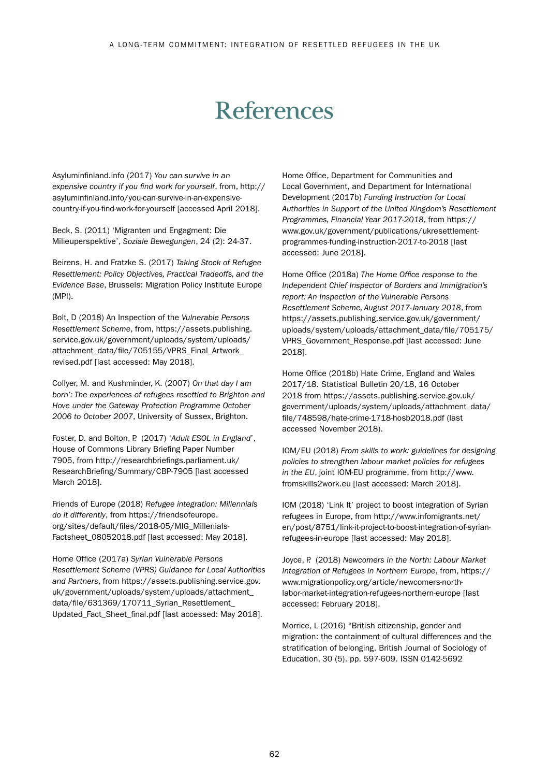## References

Asyluminfinland.info (2017) *You can survive in an expensive country if you find work for yourself*, from, [http://](http://asyluminfinland.info/you-can-survive-in-an-expensive-country-if-you-find-work-for-yourself) [asyluminfinland.info/you-can-survive-in-an-expensive](http://asyluminfinland.info/you-can-survive-in-an-expensive-country-if-you-find-work-for-yourself)[country-if-you-find-work-for-yourself](http://asyluminfinland.info/you-can-survive-in-an-expensive-country-if-you-find-work-for-yourself) [accessed April 2018].

Beck, S. (2011) 'Migranten und Engagment: Die Milieuperspektive', *Soziale Bewegungen*, 24 (2): 24-37.

Beirens, H. and Fratzke S. (2017) *Taking Stock of Refugee Resettlement: Policy Objectives, Practical Tradeoffs, and the Evidence Base*, Brussels: Migration Policy Institute Europe (MPI).

Bolt, D (2018) An Inspection of the *Vulnerable Persons Resettlement Scheme*, from, [https://assets.publishing.](https://assets.publishing.service.gov.uk/government/uploads/system/uploads/attachment_data/file/705155/VPRS_Final_Artwork_revised.pdf) [service.gov.uk/government/uploads/system/uploads/](https://assets.publishing.service.gov.uk/government/uploads/system/uploads/attachment_data/file/705155/VPRS_Final_Artwork_revised.pdf) [attachment\\_data/file/705155/VPRS\\_Final\\_Artwork\\_](https://assets.publishing.service.gov.uk/government/uploads/system/uploads/attachment_data/file/705155/VPRS_Final_Artwork_revised.pdf) [revised.pdf \[](https://assets.publishing.service.gov.uk/government/uploads/system/uploads/attachment_data/file/705155/VPRS_Final_Artwork_revised.pdf)last accessed: May 2018].

Collyer, M. and Kushminder, K. (2007) *On that day I am born': The experiences of refugees resettled to Brighton and Hove under the Gateway Protection Programme October 2006 to October 2007*, University of Sussex, Brighton.

Foster, D. and Bolton, P. (2017) '*Adult ESOL in England*', House of Commons Library Briefing Paper Number 7905, from [http://researchbriefings.parliament.uk/](http://researchbriefings.parliament.uk/ResearchBriefing/Summary/CBP-7905) [ResearchBriefing/Summary/CBP-7905](http://researchbriefings.parliament.uk/ResearchBriefing/Summary/CBP-7905) [last accessed March 2018].

Friends of Europe (2018) *Refugee integration: Millennials do it differently*, from [https://friendsofeurope.](https://friendsofeurope.org/sites/default/files/2018-05/MIG_Millenials-Factsheet_08052018.pdf) [org/sites/default/files/2018-05/MIG\\_Millenials-](https://friendsofeurope.org/sites/default/files/2018-05/MIG_Millenials-Factsheet_08052018.pdf)[Factsheet\\_08052018.pdf](https://friendsofeurope.org/sites/default/files/2018-05/MIG_Millenials-Factsheet_08052018.pdf) [last accessed: May 2018].

Home Office (2017a) *Syrian Vulnerable Persons Resettlement Scheme (VPRS) Guidance for Local Authorities and Partners*, from [https://assets.publishing.service.gov.](https://assets.publishing.service.gov.uk/government/uploads/system/uploads/attachment_data/file/631369/170711_Syrian_Resettlement_Updated_Fact_Sheet_final.pdf) [uk/government/uploads/system/uploads/attachment\\_](https://assets.publishing.service.gov.uk/government/uploads/system/uploads/attachment_data/file/631369/170711_Syrian_Resettlement_Updated_Fact_Sheet_final.pdf) data/file/631369/170711\_Syrian\_Resettlement [Updated\\_Fact\\_Sheet\\_final.pdf](https://assets.publishing.service.gov.uk/government/uploads/system/uploads/attachment_data/file/631369/170711_Syrian_Resettlement_Updated_Fact_Sheet_final.pdf) [last accessed: May 2018].

Home Office, Department for Communities and Local Government, and Department for International Development (2017b) *Funding Instruction for Local Authorities in Support of the United Kingdom's Resettlement Programmes, Financial Year 2017-2018*, from [https://](https://www.gov.uk/government/publications/ukresettlement-programmes-funding-instruction-2017-to-2018) [www.gov.uk/government/publications/ukresettlement](https://www.gov.uk/government/publications/ukresettlement-programmes-funding-instruction-2017-to-2018)[programmes-funding-instruction-2017-to-2018](https://www.gov.uk/government/publications/ukresettlement-programmes-funding-instruction-2017-to-2018) [last accessed: June 2018].

Home Office (2018a) *The Home Office response to the Independent Chief Inspector of Borders and Immigration's report: An Inspection of the Vulnerable Persons Resettlement Scheme, August 2017-January 2018*, from [https://assets.publishing.service.gov.uk/government/](https://assets.publishing.service.gov.uk/government/uploads/system/uploads/attachment_data/file/705175/VPRS_Government_Response.pdf) [uploads/system/uploads/attachment\\_data/file/705175/](https://assets.publishing.service.gov.uk/government/uploads/system/uploads/attachment_data/file/705175/VPRS_Government_Response.pdf) [VPRS\\_Government\\_Response.pdf](https://assets.publishing.service.gov.uk/government/uploads/system/uploads/attachment_data/file/705175/VPRS_Government_Response.pdf) [last accessed: June 2018].

Home Office (2018b) Hate Crime, England and Wales 2017/18. Statistical Bulletin 20/18, 16 October 2018 from [https://assets.publishing.service.gov.uk/](https://assets.publishing.service.gov.uk/government/uploads/system/uploads/attachment_data/file/748598/hate-crime-1718-hosb2018.pdf) [government/uploads/system/uploads/attachment\\_data/](https://assets.publishing.service.gov.uk/government/uploads/system/uploads/attachment_data/file/748598/hate-crime-1718-hosb2018.pdf) [file/748598/hate-crime-1718-hosb2018.pdf](https://assets.publishing.service.gov.uk/government/uploads/system/uploads/attachment_data/file/748598/hate-crime-1718-hosb2018.pdf) (last accessed November 2018).

IOM/EU (2018) *From skills to work: guidelines for designing policies to strengthen labour market policies for refugees in the EU*, joint IOM-EU programme, from [http://www.](http://www.fromskills2work.eu) [fromskills2work.eu](http://www.fromskills2work.eu) [last accessed: March 2018].

IOM (2018) 'Link It' project to boost integration of Syrian refugees in Europe, from [http://www.infomigrants.net/](http://www.infomigrants.net/en/post/8751/link-it-project-to-boost-integration-of-syrian-refugees-in-europe) [en/post/8751/link-it-project-to-boost-integration-of-syrian](http://www.infomigrants.net/en/post/8751/link-it-project-to-boost-integration-of-syrian-refugees-in-europe)[refugees-in-europe](http://www.infomigrants.net/en/post/8751/link-it-project-to-boost-integration-of-syrian-refugees-in-europe) [last accessed: May 2018].

Joyce, P. (2018) *Newcomers in the North: Labour Market Integration of Refugees in Northern Europe*, from[, https://](https://www.migrationpolicy.org/article/newcomers-north-labor-market-integration-refugees-northern-europe) [www.migrationpolicy.org/article/newcomers-north](https://www.migrationpolicy.org/article/newcomers-north-labor-market-integration-refugees-northern-europe)[labor-market-integration-refugees-northern-europe](https://www.migrationpolicy.org/article/newcomers-north-labor-market-integration-refugees-northern-europe) [last accessed: February 2018].

Morrice, L (2016) "British citizenship, gender and migration: the containment of cultural differences and the stratification of belonging. British Journal of Sociology of Education, 30 (5). pp. 597-609. ISSN 0142-5692